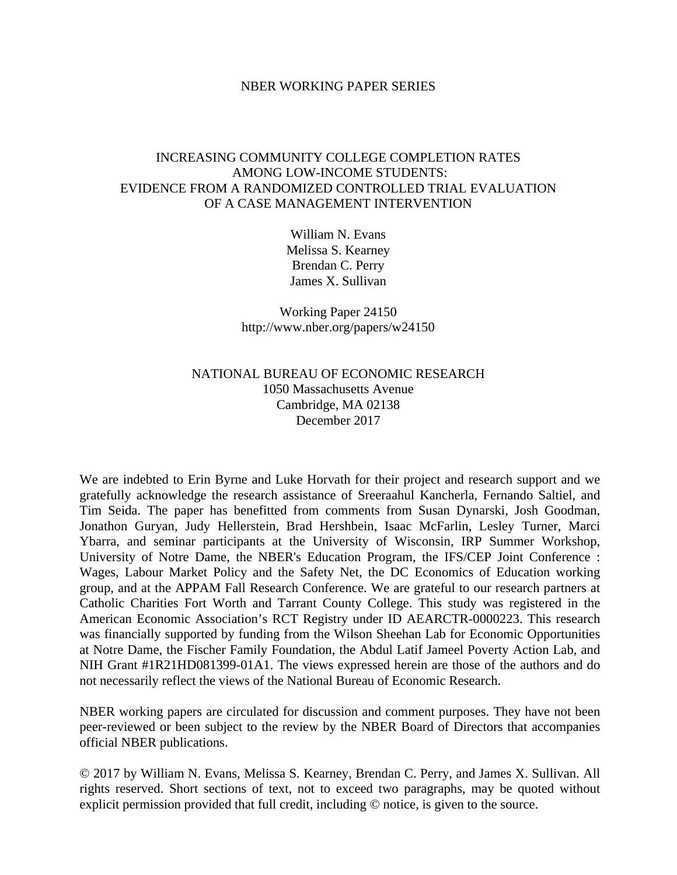#### NBER WORKING PAPER SERIES

# INCREASING COMMUNITY COLLEGE COMPLETION RATES AMONG LOW-INCOME STUDENTS: EVIDENCE FROM A RANDOMIZED CONTROLLED TRIAL EVALUATION OF A CASE MANAGEMENT INTERVENTION

William N. Evans Melissa S. Kearney Brendan C. Perry James X. Sullivan

Working Paper 24150 http://www.nber.org/papers/w24150

### NATIONAL BUREAU OF ECONOMIC RESEARCH 1050 Massachusetts Avenue Cambridge, MA 02138 December 2017

We are indebted to Erin Byrne and Luke Horvath for their project and research support and we gratefully acknowledge the research assistance of Sreeraahul Kancherla, Fernando Saltiel, and Tim Seida. The paper has benefitted from comments from Susan Dynarski, Josh Goodman, Jonathon Guryan, Judy Hellerstein, Brad Hershbein, Isaac McFarlin, Lesley Turner, Marci Ybarra, and seminar participants at the University of Wisconsin, IRP Summer Workshop, University of Notre Dame, the NBER's Education Program, the IFS/CEP Joint Conference : Wages, Labour Market Policy and the Safety Net, the DC Economics of Education working group, and at the APPAM Fall Research Conference. We are grateful to our research partners at Catholic Charities Fort Worth and Tarrant County College. This study was registered in the American Economic Association's RCT Registry under ID AEARCTR-0000223. This research was financially supported by funding from the Wilson Sheehan Lab for Economic Opportunities at Notre Dame, the Fischer Family Foundation, the Abdul Latif Jameel Poverty Action Lab, and NIH Grant #1R21HD081399-01A1. The views expressed herein are those of the authors and do not necessarily reflect the views of the National Bureau of Economic Research.

NBER working papers are circulated for discussion and comment purposes. They have not been peer-reviewed or been subject to the review by the NBER Board of Directors that accompanies official NBER publications.

© 2017 by William N. Evans, Melissa S. Kearney, Brendan C. Perry, and James X. Sullivan. All rights reserved. Short sections of text, not to exceed two paragraphs, may be quoted without explicit permission provided that full credit, including © notice, is given to the source.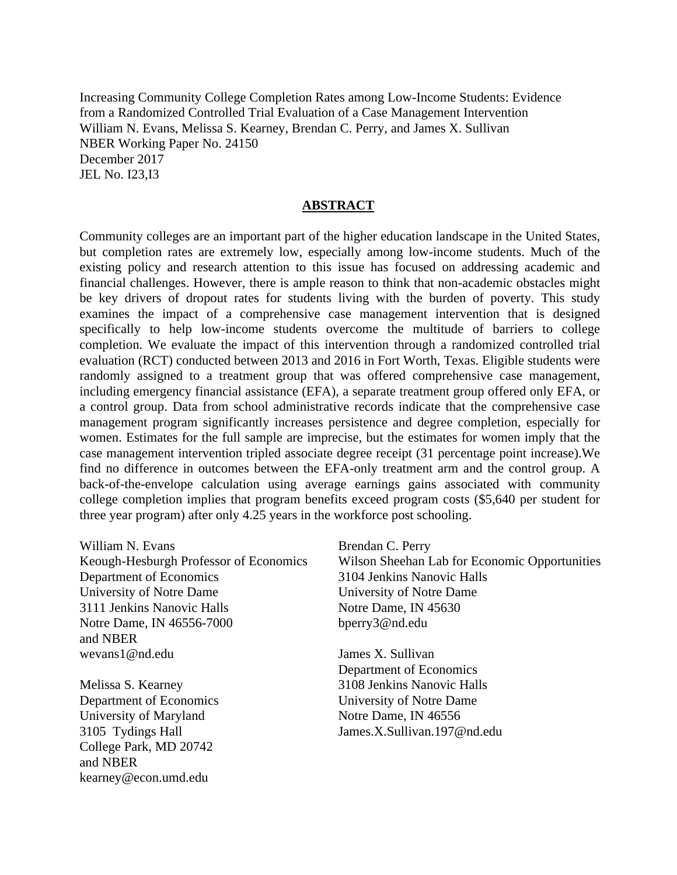Increasing Community College Completion Rates among Low-Income Students: Evidence from a Randomized Controlled Trial Evaluation of a Case Management Intervention William N. Evans, Melissa S. Kearney, Brendan C. Perry, and James X. Sullivan NBER Working Paper No. 24150 December 2017 JEL No. I23,I3

### **ABSTRACT**

Community colleges are an important part of the higher education landscape in the United States, but completion rates are extremely low, especially among low-income students. Much of the existing policy and research attention to this issue has focused on addressing academic and financial challenges. However, there is ample reason to think that non-academic obstacles might be key drivers of dropout rates for students living with the burden of poverty. This study examines the impact of a comprehensive case management intervention that is designed specifically to help low-income students overcome the multitude of barriers to college completion. We evaluate the impact of this intervention through a randomized controlled trial evaluation (RCT) conducted between 2013 and 2016 in Fort Worth, Texas. Eligible students were randomly assigned to a treatment group that was offered comprehensive case management, including emergency financial assistance (EFA), a separate treatment group offered only EFA, or a control group. Data from school administrative records indicate that the comprehensive case management program significantly increases persistence and degree completion, especially for women. Estimates for the full sample are imprecise, but the estimates for women imply that the case management intervention tripled associate degree receipt (31 percentage point increase).We find no difference in outcomes between the EFA-only treatment arm and the control group. A back-of-the-envelope calculation using average earnings gains associated with community college completion implies that program benefits exceed program costs (\$5,640 per student for three year program) after only 4.25 years in the workforce post schooling.

William N. Evans Keough-Hesburgh Professor of Economics Department of Economics University of Notre Dame 3111 Jenkins Nanovic Halls Notre Dame, IN 46556-7000 and NBER wevans1@nd.edu

Melissa S. Kearney Department of Economics University of Maryland 3105 Tydings Hall College Park, MD 20742 and NBER kearney@econ.umd.edu

Brendan C. Perry

Wilson Sheehan Lab for Economic Opportunities 3104 Jenkins Nanovic Halls University of Notre Dame Notre Dame, IN 45630 bperry3@nd.edu

James X. Sullivan Department of Economics 3108 Jenkins Nanovic Halls University of Notre Dame Notre Dame, IN 46556 James.X.Sullivan.197@nd.edu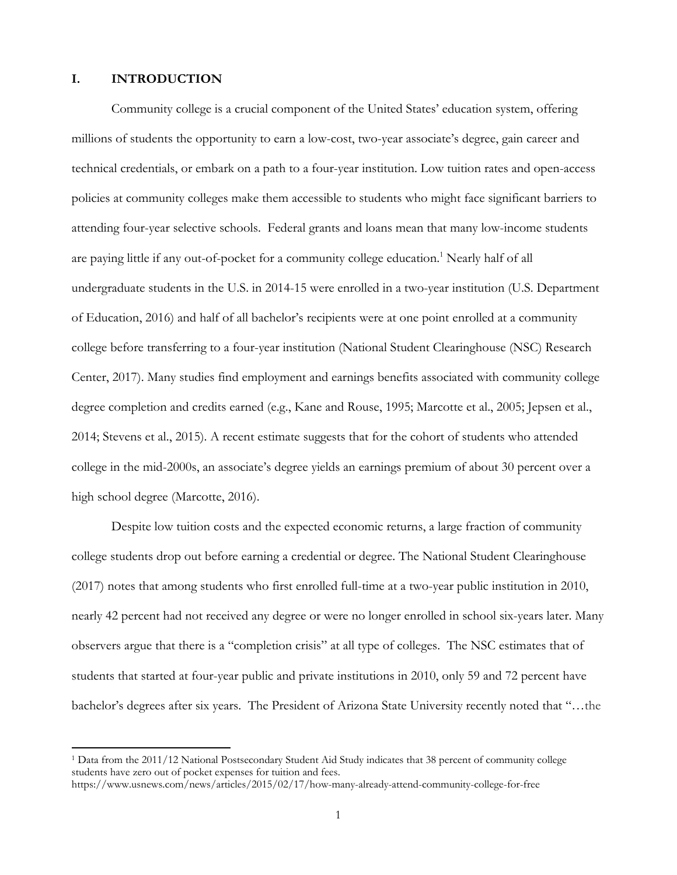### **I. INTRODUCTION**

Community college is a crucial component of the United States' education system, offering millions of students the opportunity to earn a low-cost, two-year associate's degree, gain career and technical credentials, or embark on a path to a four-year institution. Low tuition rates and open-access policies at community colleges make them accessible to students who might face significant barriers to attending four-year selective schools. Federal grants and loans mean that many low-income students are paying little if any out-of-pocket for a community college education.<sup>1</sup> Nearly half of all undergraduate students in the U.S. in 2014-15 were enrolled in a two-year institution (U.S. Department of Education, 2016) and half of all bachelor's recipients were at one point enrolled at a community college before transferring to a four-year institution (National Student Clearinghouse (NSC) Research Center, 2017). Many studies find employment and earnings benefits associated with community college degree completion and credits earned (e.g., Kane and Rouse, 1995; Marcotte et al., 2005; Jepsen et al., 2014; Stevens et al., 2015). A recent estimate suggests that for the cohort of students who attended college in the mid-2000s, an associate's degree yields an earnings premium of about 30 percent over a high school degree (Marcotte, 2016).

Despite low tuition costs and the expected economic returns, a large fraction of community college students drop out before earning a credential or degree. The National Student Clearinghouse (2017) notes that among students who first enrolled full-time at a two-year public institution in 2010, nearly 42 percent had not received any degree or were no longer enrolled in school six-years later. Many observers argue that there is a "completion crisis" at all type of colleges. The NSC estimates that of students that started at four-year public and private institutions in 2010, only 59 and 72 percent have bachelor's degrees after six years. The President of Arizona State University recently noted that "…the

<sup>1</sup> Data from the 2011/12 National Postsecondary Student Aid Study indicates that 38 percent of community college students have zero out of pocket expenses for tuition and fees.

https://www.usnews.com/news/articles/2015/02/17/how-many-already-attend-community-college-for-free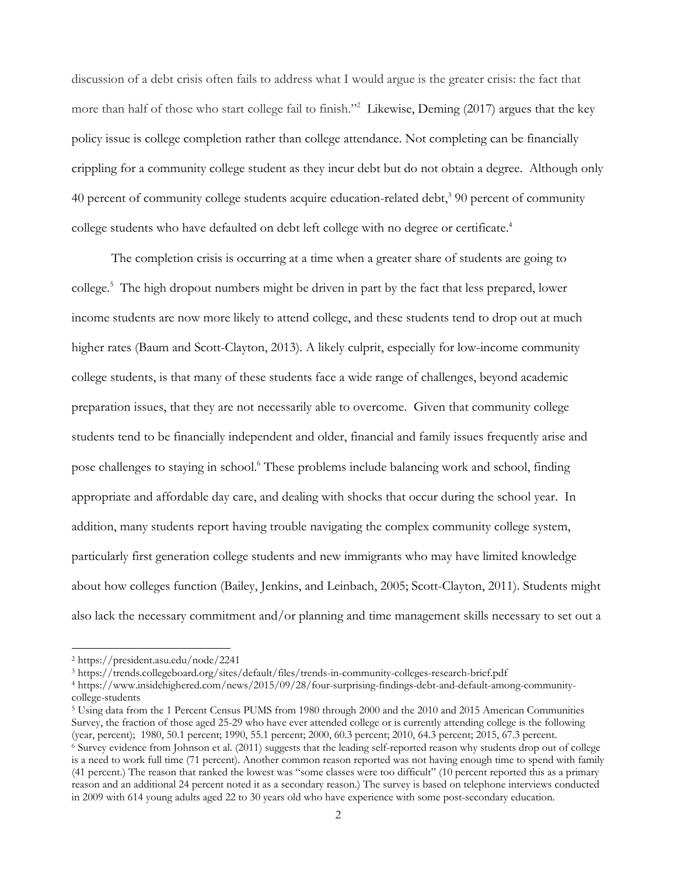discussion of a debt crisis often fails to address what I would argue is the greater crisis: the fact that more than half of those who start college fail to finish."<sup>2</sup> Likewise, Deming (2017) argues that the key policy issue is college completion rather than college attendance. Not completing can be financially crippling for a community college student as they incur debt but do not obtain a degree. Although only 40 percent of community college students acquire education-related debt,<sup>3</sup> 90 percent of community college students who have defaulted on debt left college with no degree or certificate.<sup>4</sup>

The completion crisis is occurring at a time when a greater share of students are going to college.5 The high dropout numbers might be driven in part by the fact that less prepared, lower income students are now more likely to attend college, and these students tend to drop out at much higher rates (Baum and Scott-Clayton, 2013). A likely culprit, especially for low-income community college students, is that many of these students face a wide range of challenges, beyond academic preparation issues, that they are not necessarily able to overcome. Given that community college students tend to be financially independent and older, financial and family issues frequently arise and pose challenges to staying in school.<sup>6</sup> These problems include balancing work and school, finding appropriate and affordable day care, and dealing with shocks that occur during the school year. In addition, many students report having trouble navigating the complex community college system, particularly first generation college students and new immigrants who may have limited knowledge about how colleges function (Bailey, Jenkins, and Leinbach, 2005; Scott-Clayton, 2011). Students might also lack the necessary commitment and/or planning and time management skills necessary to set out a

 2 https://president.asu.edu/node/2241

<sup>3</sup> https://trends.collegeboard.org/sites/default/files/trends-in-community-colleges-research-brief.pdf 4 https://www.insidehighered.com/news/2015/09/28/four-surprising-findings-debt-and-default-among-communitycollege-students

<sup>5</sup> Using data from the 1 Percent Census PUMS from 1980 through 2000 and the 2010 and 2015 American Communities Survey, the fraction of those aged 25-29 who have ever attended college or is currently attending college is the following (year, percent); 1980, 50.1 percent; 1990, 55.1 percent; 2000, 60.3 percent; 2010, 64.3 percent; 20  $\frac{6}{3}$  Survey evidence from Johnson et al. (2011) suggests that the leading self-reported reason why students drop out of college is a need to work full time (71 percent). Another common reason reported was not having enough time to spend with family (41 percent.) The reason that ranked the lowest was "some classes were too difficult" (10 percent reported this as a primary reason and an additional 24 percent noted it as a secondary reason.) The survey is based on telephone interviews conducted in 2009 with 614 young adults aged 22 to 30 years old who have experience with some post-secondary education.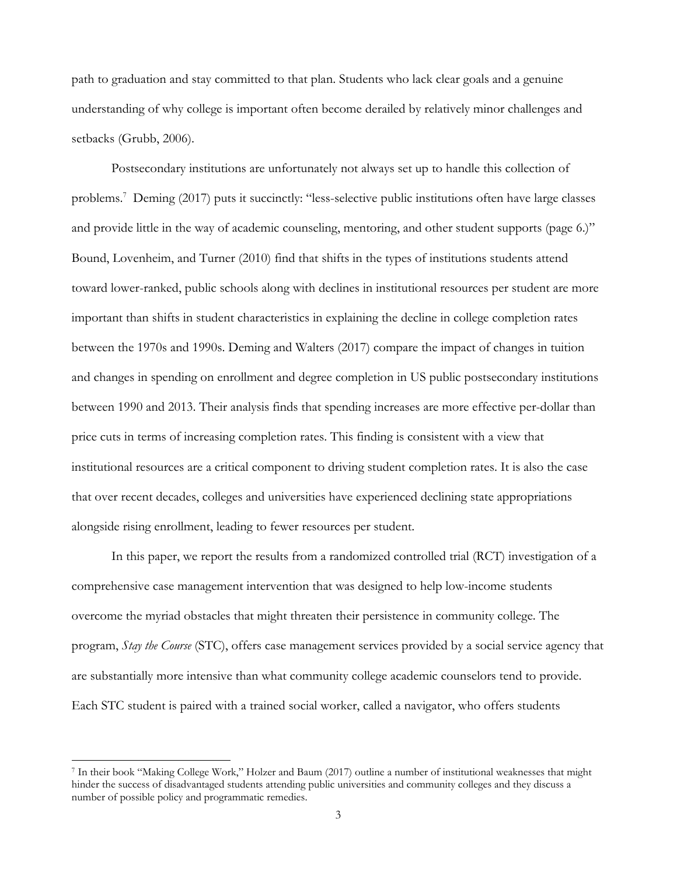path to graduation and stay committed to that plan. Students who lack clear goals and a genuine understanding of why college is important often become derailed by relatively minor challenges and setbacks (Grubb, 2006).

Postsecondary institutions are unfortunately not always set up to handle this collection of problems.7 Deming (2017) puts it succinctly: "less-selective public institutions often have large classes and provide little in the way of academic counseling, mentoring, and other student supports (page 6.)" Bound, Lovenheim, and Turner (2010) find that shifts in the types of institutions students attend toward lower-ranked, public schools along with declines in institutional resources per student are more important than shifts in student characteristics in explaining the decline in college completion rates between the 1970s and 1990s. Deming and Walters (2017) compare the impact of changes in tuition and changes in spending on enrollment and degree completion in US public postsecondary institutions between 1990 and 2013. Their analysis finds that spending increases are more effective per-dollar than price cuts in terms of increasing completion rates. This finding is consistent with a view that institutional resources are a critical component to driving student completion rates. It is also the case that over recent decades, colleges and universities have experienced declining state appropriations alongside rising enrollment, leading to fewer resources per student.

In this paper, we report the results from a randomized controlled trial (RCT) investigation of a comprehensive case management intervention that was designed to help low-income students overcome the myriad obstacles that might threaten their persistence in community college. The program, *Stay the Course* (STC), offers case management services provided by a social service agency that are substantially more intensive than what community college academic counselors tend to provide. Each STC student is paired with a trained social worker, called a navigator, who offers students

<sup>7</sup> In their book "Making College Work," Holzer and Baum (2017) outline a number of institutional weaknesses that might hinder the success of disadvantaged students attending public universities and community colleges and they discuss a number of possible policy and programmatic remedies.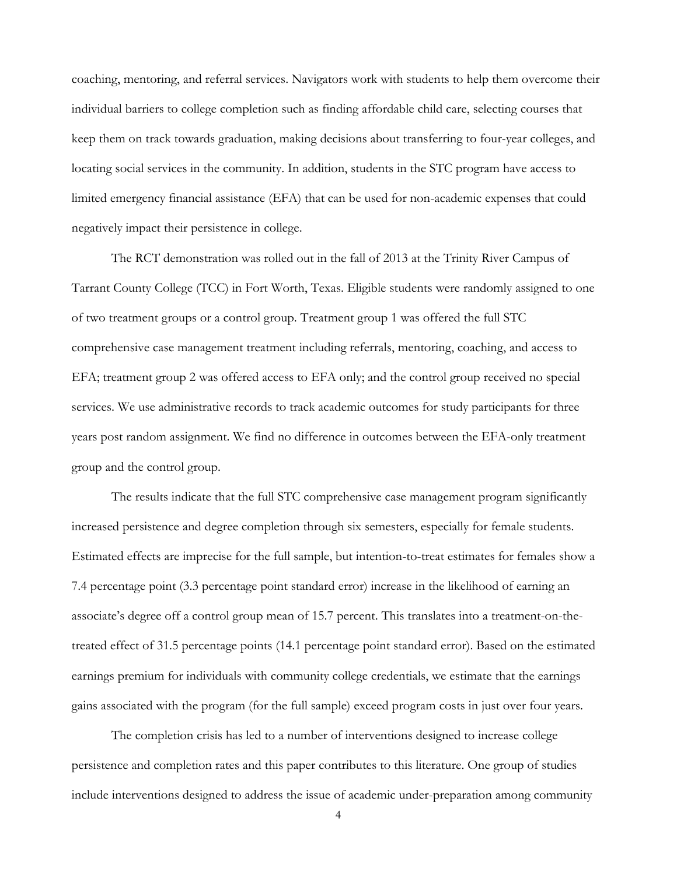coaching, mentoring, and referral services. Navigators work with students to help them overcome their individual barriers to college completion such as finding affordable child care, selecting courses that keep them on track towards graduation, making decisions about transferring to four-year colleges, and locating social services in the community. In addition, students in the STC program have access to limited emergency financial assistance (EFA) that can be used for non-academic expenses that could negatively impact their persistence in college.

The RCT demonstration was rolled out in the fall of 2013 at the Trinity River Campus of Tarrant County College (TCC) in Fort Worth, Texas. Eligible students were randomly assigned to one of two treatment groups or a control group. Treatment group 1 was offered the full STC comprehensive case management treatment including referrals, mentoring, coaching, and access to EFA; treatment group 2 was offered access to EFA only; and the control group received no special services. We use administrative records to track academic outcomes for study participants for three years post random assignment. We find no difference in outcomes between the EFA-only treatment group and the control group.

The results indicate that the full STC comprehensive case management program significantly increased persistence and degree completion through six semesters, especially for female students. Estimated effects are imprecise for the full sample, but intention-to-treat estimates for females show a 7.4 percentage point (3.3 percentage point standard error) increase in the likelihood of earning an associate's degree off a control group mean of 15.7 percent. This translates into a treatment-on-thetreated effect of 31.5 percentage points (14.1 percentage point standard error). Based on the estimated earnings premium for individuals with community college credentials, we estimate that the earnings gains associated with the program (for the full sample) exceed program costs in just over four years.

The completion crisis has led to a number of interventions designed to increase college persistence and completion rates and this paper contributes to this literature. One group of studies include interventions designed to address the issue of academic under-preparation among community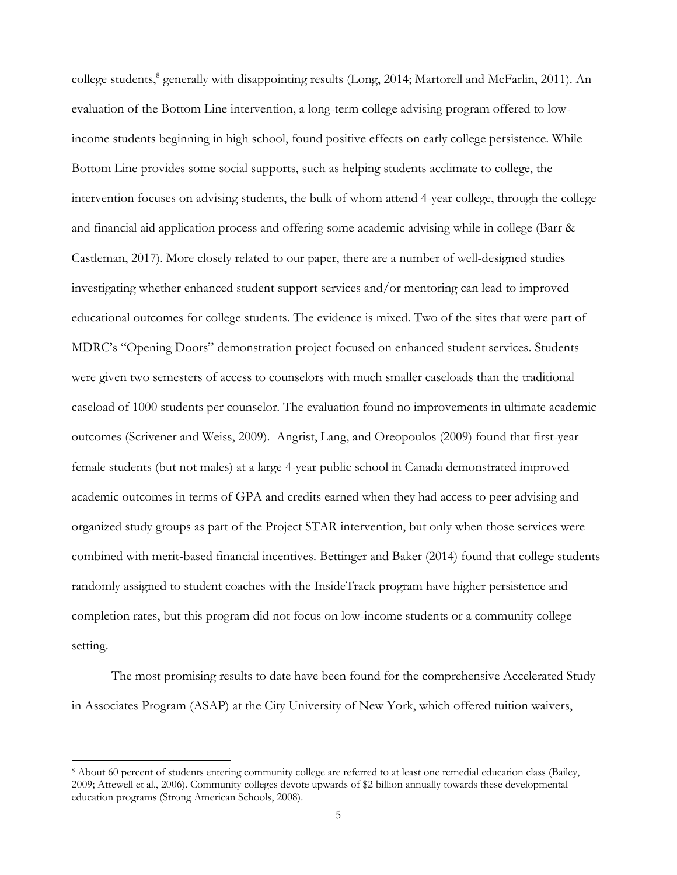college students,<sup>8</sup> generally with disappointing results (Long, 2014; Martorell and McFarlin, 2011). An evaluation of the Bottom Line intervention, a long-term college advising program offered to lowincome students beginning in high school, found positive effects on early college persistence. While Bottom Line provides some social supports, such as helping students acclimate to college, the intervention focuses on advising students, the bulk of whom attend 4-year college, through the college and financial aid application process and offering some academic advising while in college (Barr & Castleman, 2017). More closely related to our paper, there are a number of well-designed studies investigating whether enhanced student support services and/or mentoring can lead to improved educational outcomes for college students. The evidence is mixed. Two of the sites that were part of MDRC's "Opening Doors" demonstration project focused on enhanced student services. Students were given two semesters of access to counselors with much smaller caseloads than the traditional caseload of 1000 students per counselor. The evaluation found no improvements in ultimate academic outcomes (Scrivener and Weiss, 2009). Angrist, Lang, and Oreopoulos (2009) found that first-year female students (but not males) at a large 4-year public school in Canada demonstrated improved academic outcomes in terms of GPA and credits earned when they had access to peer advising and organized study groups as part of the Project STAR intervention, but only when those services were combined with merit-based financial incentives. Bettinger and Baker (2014) found that college students randomly assigned to student coaches with the InsideTrack program have higher persistence and completion rates, but this program did not focus on low-income students or a community college setting.

The most promising results to date have been found for the comprehensive Accelerated Study in Associates Program (ASAP) at the City University of New York, which offered tuition waivers,

<sup>8</sup> About 60 percent of students entering community college are referred to at least one remedial education class (Bailey, 2009; Attewell et al., 2006). Community colleges devote upwards of \$2 billion annually towards these developmental education programs (Strong American Schools, 2008).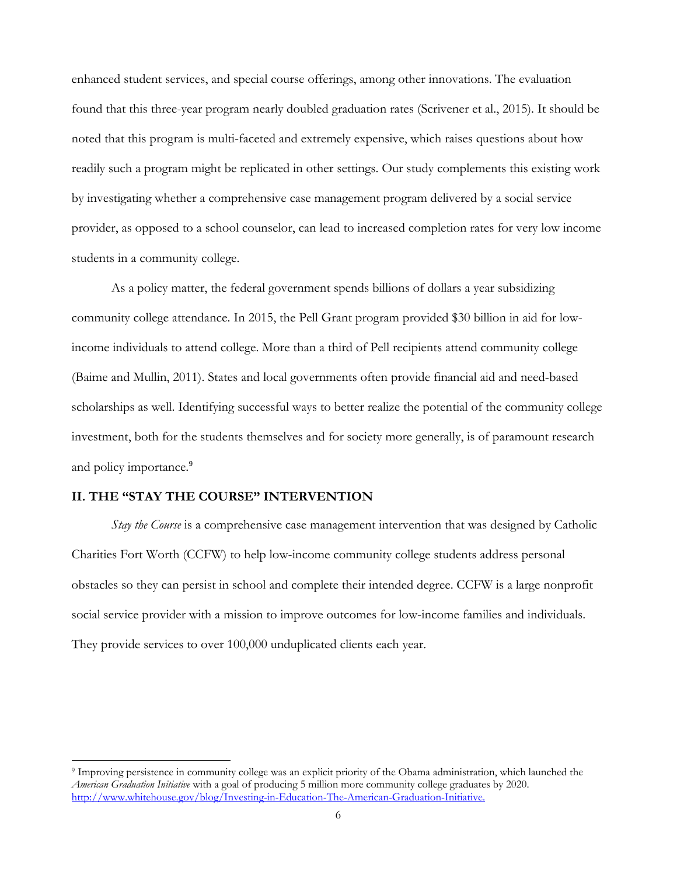enhanced student services, and special course offerings, among other innovations. The evaluation found that this three-year program nearly doubled graduation rates (Scrivener et al., 2015). It should be noted that this program is multi-faceted and extremely expensive, which raises questions about how readily such a program might be replicated in other settings. Our study complements this existing work by investigating whether a comprehensive case management program delivered by a social service provider, as opposed to a school counselor, can lead to increased completion rates for very low income students in a community college.

As a policy matter, the federal government spends billions of dollars a year subsidizing community college attendance. In 2015, the Pell Grant program provided \$30 billion in aid for lowincome individuals to attend college. More than a third of Pell recipients attend community college (Baime and Mullin, 2011). States and local governments often provide financial aid and need-based scholarships as well. Identifying successful ways to better realize the potential of the community college investment, both for the students themselves and for society more generally, is of paramount research and policy importance.<sup>9</sup>

### **II. THE "STAY THE COURSE" INTERVENTION**

*Stay the Course* is a comprehensive case management intervention that was designed by Catholic Charities Fort Worth (CCFW) to help low-income community college students address personal obstacles so they can persist in school and complete their intended degree. CCFW is a large nonprofit social service provider with a mission to improve outcomes for low-income families and individuals. They provide services to over 100,000 unduplicated clients each year.

<sup>9</sup> Improving persistence in community college was an explicit priority of the Obama administration, which launched the *American Graduation Initiative* with a goal of producing 5 million more community college graduates by 2020. http://www.whitehouse.gov/blog/Investing-in-Education-The-American-Graduation-Initiative.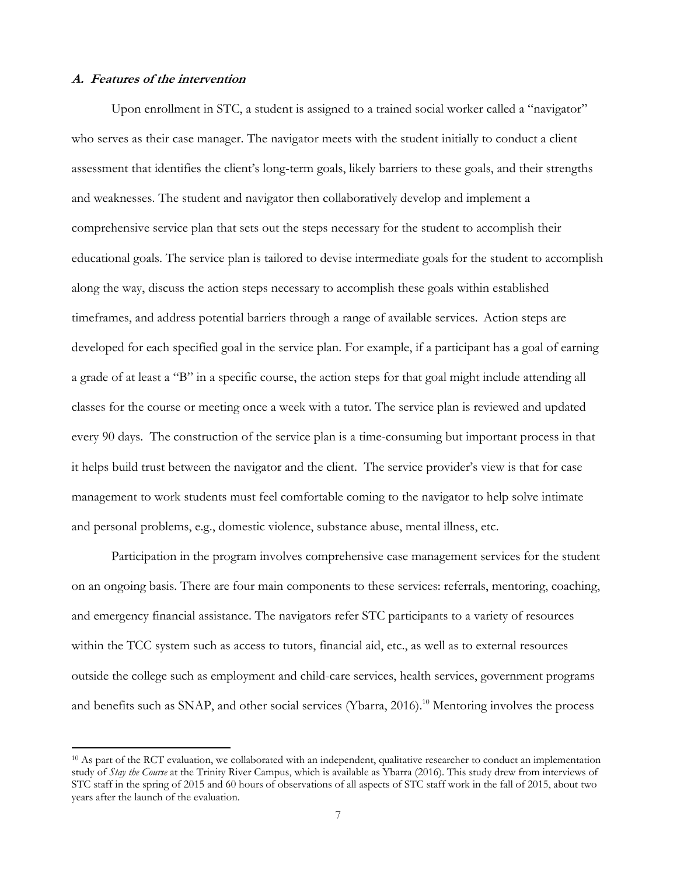### **A. Features of the intervention**

Upon enrollment in STC, a student is assigned to a trained social worker called a "navigator" who serves as their case manager. The navigator meets with the student initially to conduct a client assessment that identifies the client's long-term goals, likely barriers to these goals, and their strengths and weaknesses. The student and navigator then collaboratively develop and implement a comprehensive service plan that sets out the steps necessary for the student to accomplish their educational goals. The service plan is tailored to devise intermediate goals for the student to accomplish along the way, discuss the action steps necessary to accomplish these goals within established timeframes, and address potential barriers through a range of available services. Action steps are developed for each specified goal in the service plan. For example, if a participant has a goal of earning a grade of at least a "B" in a specific course, the action steps for that goal might include attending all classes for the course or meeting once a week with a tutor. The service plan is reviewed and updated every 90 days. The construction of the service plan is a time-consuming but important process in that it helps build trust between the navigator and the client. The service provider's view is that for case management to work students must feel comfortable coming to the navigator to help solve intimate and personal problems, e.g., domestic violence, substance abuse, mental illness, etc.

Participation in the program involves comprehensive case management services for the student on an ongoing basis. There are four main components to these services: referrals, mentoring, coaching, and emergency financial assistance. The navigators refer STC participants to a variety of resources within the TCC system such as access to tutors, financial aid, etc., as well as to external resources outside the college such as employment and child-care services, health services, government programs and benefits such as SNAP, and other social services (Ybarra, 2016).<sup>10</sup> Mentoring involves the process

<sup>&</sup>lt;sup>10</sup> As part of the RCT evaluation, we collaborated with an independent, qualitative researcher to conduct an implementation study of *Stay the Course* at the Trinity River Campus, which is available as Ybarra (2016). This study drew from interviews of STC staff in the spring of 2015 and 60 hours of observations of all aspects of STC staff work in the fall of 2015, about two years after the launch of the evaluation.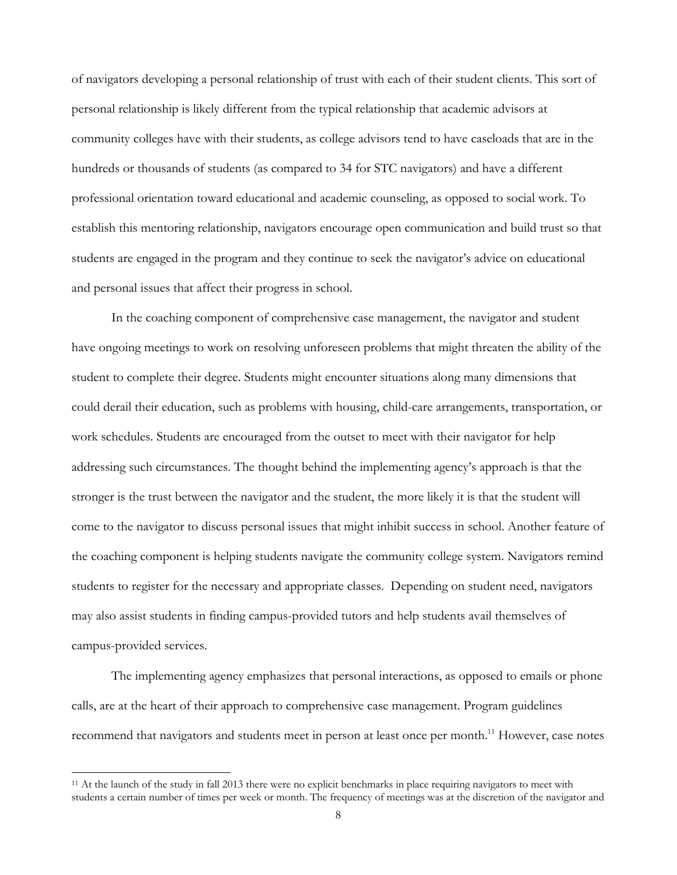of navigators developing a personal relationship of trust with each of their student clients. This sort of personal relationship is likely different from the typical relationship that academic advisors at community colleges have with their students, as college advisors tend to have caseloads that are in the hundreds or thousands of students (as compared to 34 for STC navigators) and have a different professional orientation toward educational and academic counseling, as opposed to social work. To establish this mentoring relationship, navigators encourage open communication and build trust so that students are engaged in the program and they continue to seek the navigator's advice on educational and personal issues that affect their progress in school.

In the coaching component of comprehensive case management, the navigator and student have ongoing meetings to work on resolving unforeseen problems that might threaten the ability of the student to complete their degree. Students might encounter situations along many dimensions that could derail their education, such as problems with housing, child-care arrangements, transportation, or work schedules. Students are encouraged from the outset to meet with their navigator for help addressing such circumstances. The thought behind the implementing agency's approach is that the stronger is the trust between the navigator and the student, the more likely it is that the student will come to the navigator to discuss personal issues that might inhibit success in school. Another feature of the coaching component is helping students navigate the community college system. Navigators remind students to register for the necessary and appropriate classes. Depending on student need, navigators may also assist students in finding campus-provided tutors and help students avail themselves of campus-provided services.

The implementing agency emphasizes that personal interactions, as opposed to emails or phone calls, are at the heart of their approach to comprehensive case management. Program guidelines recommend that navigators and students meet in person at least once per month.<sup>11</sup> However, case notes

 $11$  At the launch of the study in fall 2013 there were no explicit benchmarks in place requiring navigators to meet with students a certain number of times per week or month. The frequency of meetings was at the discretion of the navigator and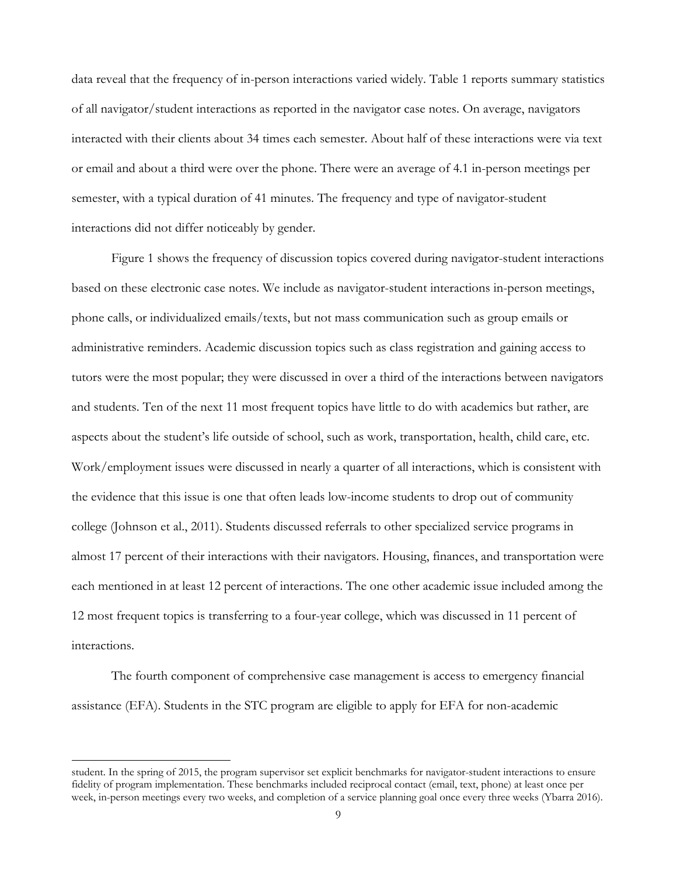data reveal that the frequency of in-person interactions varied widely. Table 1 reports summary statistics of all navigator/student interactions as reported in the navigator case notes. On average, navigators interacted with their clients about 34 times each semester. About half of these interactions were via text or email and about a third were over the phone. There were an average of 4.1 in-person meetings per semester, with a typical duration of 41 minutes. The frequency and type of navigator-student interactions did not differ noticeably by gender.

Figure 1 shows the frequency of discussion topics covered during navigator-student interactions based on these electronic case notes. We include as navigator-student interactions in-person meetings, phone calls, or individualized emails/texts, but not mass communication such as group emails or administrative reminders. Academic discussion topics such as class registration and gaining access to tutors were the most popular; they were discussed in over a third of the interactions between navigators and students. Ten of the next 11 most frequent topics have little to do with academics but rather, are aspects about the student's life outside of school, such as work, transportation, health, child care, etc. Work/employment issues were discussed in nearly a quarter of all interactions, which is consistent with the evidence that this issue is one that often leads low-income students to drop out of community college (Johnson et al., 2011). Students discussed referrals to other specialized service programs in almost 17 percent of their interactions with their navigators. Housing, finances, and transportation were each mentioned in at least 12 percent of interactions. The one other academic issue included among the 12 most frequent topics is transferring to a four-year college, which was discussed in 11 percent of interactions.

The fourth component of comprehensive case management is access to emergency financial assistance (EFA). Students in the STC program are eligible to apply for EFA for non-academic

student. In the spring of 2015, the program supervisor set explicit benchmarks for navigator-student interactions to ensure fidelity of program implementation. These benchmarks included reciprocal contact (email, text, phone) at least once per week, in-person meetings every two weeks, and completion of a service planning goal once every three weeks (Ybarra 2016).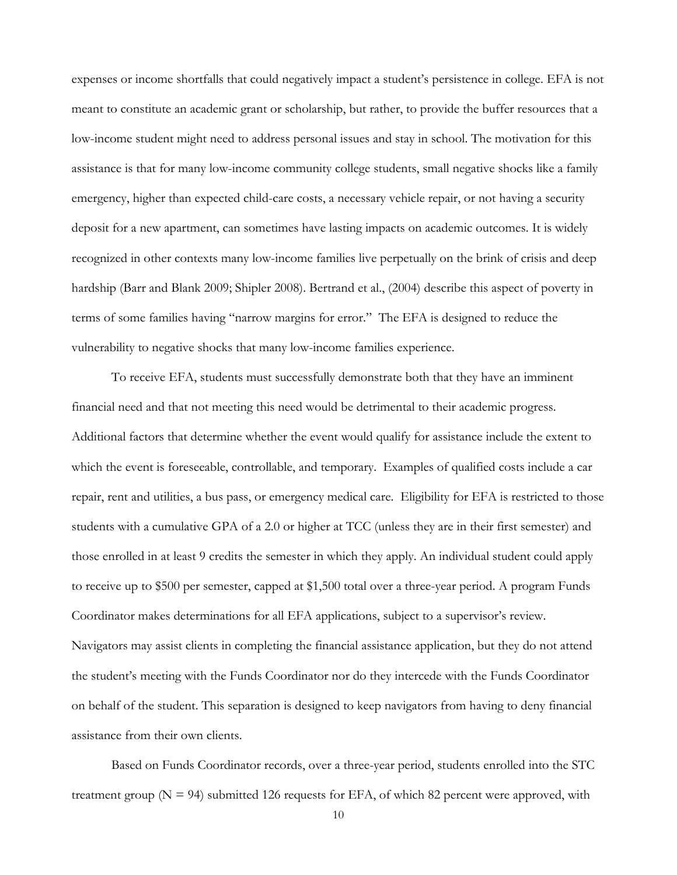expenses or income shortfalls that could negatively impact a student's persistence in college. EFA is not meant to constitute an academic grant or scholarship, but rather, to provide the buffer resources that a low-income student might need to address personal issues and stay in school. The motivation for this assistance is that for many low-income community college students, small negative shocks like a family emergency, higher than expected child-care costs, a necessary vehicle repair, or not having a security deposit for a new apartment, can sometimes have lasting impacts on academic outcomes. It is widely recognized in other contexts many low-income families live perpetually on the brink of crisis and deep hardship (Barr and Blank 2009; Shipler 2008). Bertrand et al., (2004) describe this aspect of poverty in terms of some families having "narrow margins for error." The EFA is designed to reduce the vulnerability to negative shocks that many low-income families experience.

To receive EFA, students must successfully demonstrate both that they have an imminent financial need and that not meeting this need would be detrimental to their academic progress. Additional factors that determine whether the event would qualify for assistance include the extent to which the event is foreseeable, controllable, and temporary. Examples of qualified costs include a car repair, rent and utilities, a bus pass, or emergency medical care. Eligibility for EFA is restricted to those students with a cumulative GPA of a 2.0 or higher at TCC (unless they are in their first semester) and those enrolled in at least 9 credits the semester in which they apply. An individual student could apply to receive up to \$500 per semester, capped at \$1,500 total over a three-year period. A program Funds Coordinator makes determinations for all EFA applications, subject to a supervisor's review. Navigators may assist clients in completing the financial assistance application, but they do not attend the student's meeting with the Funds Coordinator nor do they intercede with the Funds Coordinator on behalf of the student. This separation is designed to keep navigators from having to deny financial assistance from their own clients.

Based on Funds Coordinator records, over a three-year period, students enrolled into the STC treatment group ( $N = 94$ ) submitted 126 requests for EFA, of which 82 percent were approved, with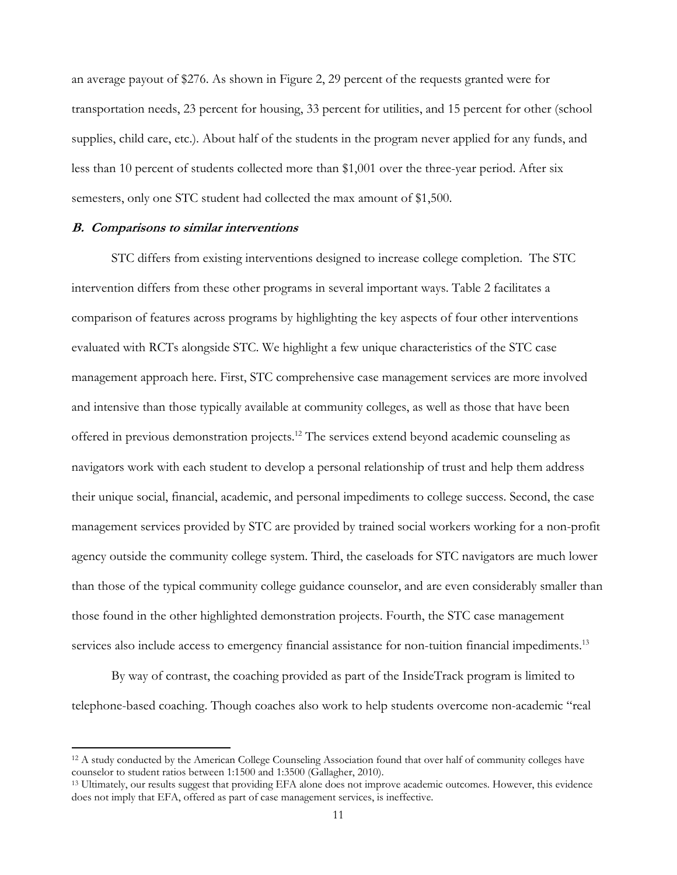an average payout of \$276. As shown in Figure 2, 29 percent of the requests granted were for transportation needs, 23 percent for housing, 33 percent for utilities, and 15 percent for other (school supplies, child care, etc.). About half of the students in the program never applied for any funds, and less than 10 percent of students collected more than \$1,001 over the three-year period. After six semesters, only one STC student had collected the max amount of \$1,500.

#### **B. Comparisons to similar interventions**

STC differs from existing interventions designed to increase college completion. The STC intervention differs from these other programs in several important ways. Table 2 facilitates a comparison of features across programs by highlighting the key aspects of four other interventions evaluated with RCTs alongside STC. We highlight a few unique characteristics of the STC case management approach here. First, STC comprehensive case management services are more involved and intensive than those typically available at community colleges, as well as those that have been offered in previous demonstration projects.<sup>12</sup> The services extend beyond academic counseling as navigators work with each student to develop a personal relationship of trust and help them address their unique social, financial, academic, and personal impediments to college success. Second, the case management services provided by STC are provided by trained social workers working for a non-profit agency outside the community college system. Third, the caseloads for STC navigators are much lower than those of the typical community college guidance counselor, and are even considerably smaller than those found in the other highlighted demonstration projects. Fourth, the STC case management services also include access to emergency financial assistance for non-tuition financial impediments.<sup>13</sup>

By way of contrast, the coaching provided as part of the InsideTrack program is limited to telephone-based coaching. Though coaches also work to help students overcome non-academic "real

 $12$  A study conducted by the American College Counseling Association found that over half of community colleges have counselor to student ratios between 1:1500 and 1:3500 (Gallagher, 2010).

<sup>&</sup>lt;sup>13</sup> Ultimately, our results suggest that providing EFA alone does not improve academic outcomes. However, this evidence does not imply that EFA, offered as part of case management services, is ineffective.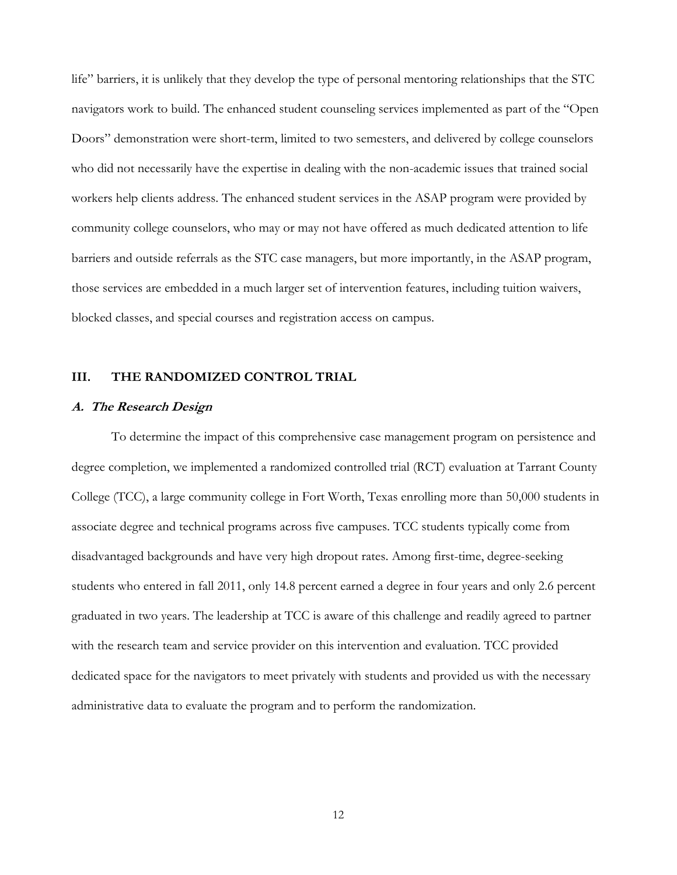life" barriers, it is unlikely that they develop the type of personal mentoring relationships that the STC navigators work to build. The enhanced student counseling services implemented as part of the "Open Doors" demonstration were short-term, limited to two semesters, and delivered by college counselors who did not necessarily have the expertise in dealing with the non-academic issues that trained social workers help clients address. The enhanced student services in the ASAP program were provided by community college counselors, who may or may not have offered as much dedicated attention to life barriers and outside referrals as the STC case managers, but more importantly, in the ASAP program, those services are embedded in a much larger set of intervention features, including tuition waivers, blocked classes, and special courses and registration access on campus.

### **III. THE RANDOMIZED CONTROL TRIAL**

#### **A. The Research Design**

To determine the impact of this comprehensive case management program on persistence and degree completion, we implemented a randomized controlled trial (RCT) evaluation at Tarrant County College (TCC), a large community college in Fort Worth, Texas enrolling more than 50,000 students in associate degree and technical programs across five campuses. TCC students typically come from disadvantaged backgrounds and have very high dropout rates. Among first-time, degree-seeking students who entered in fall 2011, only 14.8 percent earned a degree in four years and only 2.6 percent graduated in two years. The leadership at TCC is aware of this challenge and readily agreed to partner with the research team and service provider on this intervention and evaluation. TCC provided dedicated space for the navigators to meet privately with students and provided us with the necessary administrative data to evaluate the program and to perform the randomization.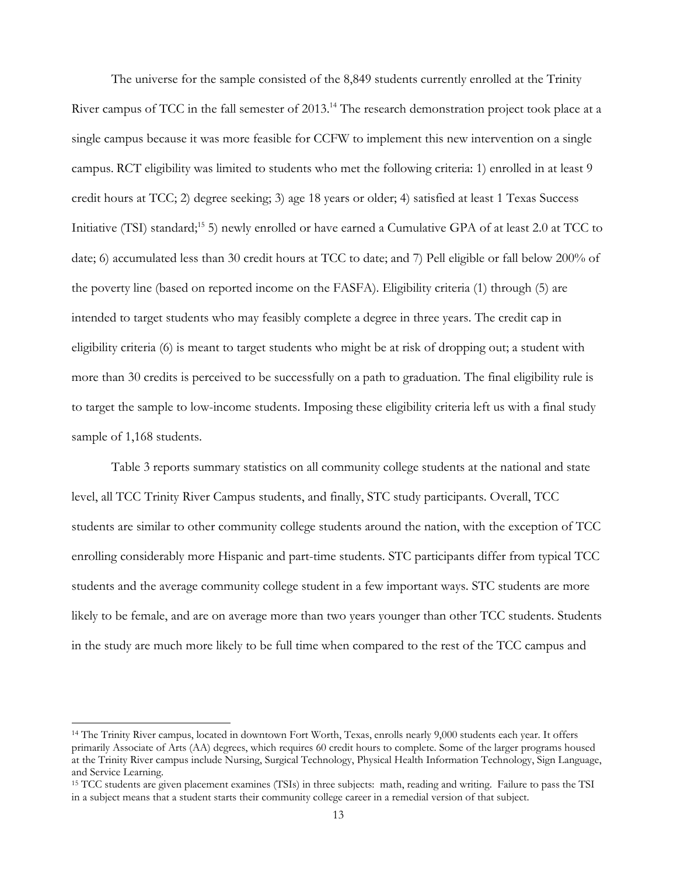The universe for the sample consisted of the 8,849 students currently enrolled at the Trinity River campus of TCC in the fall semester of 2013.<sup>14</sup> The research demonstration project took place at a single campus because it was more feasible for CCFW to implement this new intervention on a single campus. RCT eligibility was limited to students who met the following criteria: 1) enrolled in at least 9 credit hours at TCC; 2) degree seeking; 3) age 18 years or older; 4) satisfied at least 1 Texas Success Initiative (TSI) standard;15 5) newly enrolled or have earned a Cumulative GPA of at least 2.0 at TCC to date; 6) accumulated less than 30 credit hours at TCC to date; and 7) Pell eligible or fall below 200% of the poverty line (based on reported income on the FASFA). Eligibility criteria (1) through (5) are intended to target students who may feasibly complete a degree in three years. The credit cap in eligibility criteria (6) is meant to target students who might be at risk of dropping out; a student with more than 30 credits is perceived to be successfully on a path to graduation. The final eligibility rule is to target the sample to low-income students. Imposing these eligibility criteria left us with a final study sample of 1,168 students.

Table 3 reports summary statistics on all community college students at the national and state level, all TCC Trinity River Campus students, and finally, STC study participants. Overall, TCC students are similar to other community college students around the nation, with the exception of TCC enrolling considerably more Hispanic and part-time students. STC participants differ from typical TCC students and the average community college student in a few important ways. STC students are more likely to be female, and are on average more than two years younger than other TCC students. Students in the study are much more likely to be full time when compared to the rest of the TCC campus and

<sup>&</sup>lt;sup>14</sup> The Trinity River campus, located in downtown Fort Worth, Texas, enrolls nearly 9,000 students each year. It offers primarily Associate of Arts (AA) degrees, which requires 60 credit hours to complete. Some of the larger programs housed at the Trinity River campus include Nursing, Surgical Technology, Physical Health Information Technology, Sign Language, and Service Learning.

<sup>15</sup> TCC students are given placement examines (TSIs) in three subjects: math, reading and writing. Failure to pass the TSI in a subject means that a student starts their community college career in a remedial version of that subject.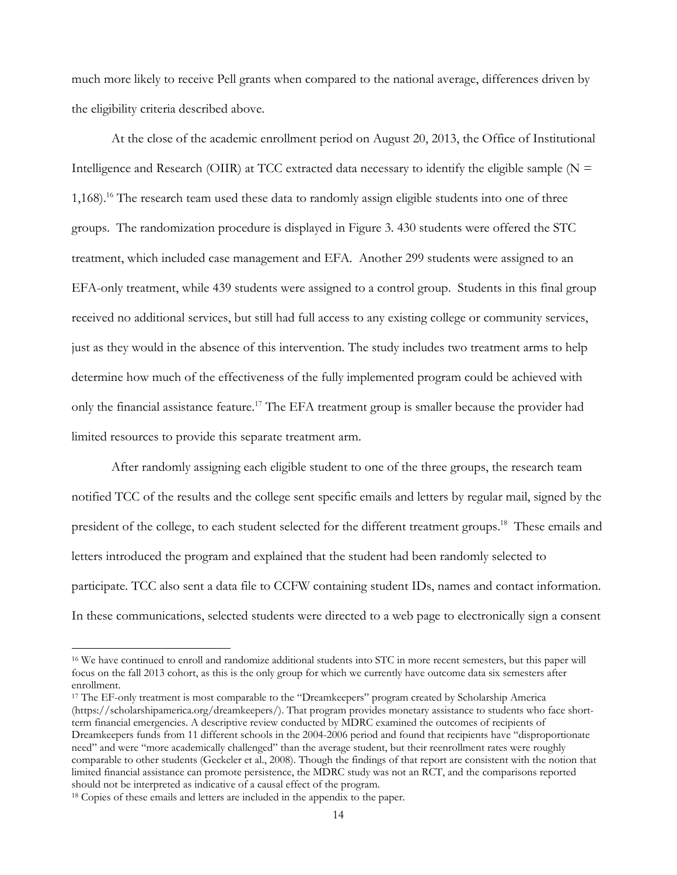much more likely to receive Pell grants when compared to the national average, differences driven by the eligibility criteria described above.

At the close of the academic enrollment period on August 20, 2013, the Office of Institutional Intelligence and Research (OIIR) at TCC extracted data necessary to identify the eligible sample  $(N =$ 1,168).<sup>16</sup> The research team used these data to randomly assign eligible students into one of three groups. The randomization procedure is displayed in Figure 3. 430 students were offered the STC treatment, which included case management and EFA. Another 299 students were assigned to an EFA-only treatment, while 439 students were assigned to a control group. Students in this final group received no additional services, but still had full access to any existing college or community services, just as they would in the absence of this intervention. The study includes two treatment arms to help determine how much of the effectiveness of the fully implemented program could be achieved with only the financial assistance feature.<sup>17</sup> The EFA treatment group is smaller because the provider had limited resources to provide this separate treatment arm.

After randomly assigning each eligible student to one of the three groups, the research team notified TCC of the results and the college sent specific emails and letters by regular mail, signed by the president of the college, to each student selected for the different treatment groups.<sup>18</sup> These emails and letters introduced the program and explained that the student had been randomly selected to participate. TCC also sent a data file to CCFW containing student IDs, names and contact information. In these communications, selected students were directed to a web page to electronically sign a consent

<sup>&</sup>lt;sup>16</sup> We have continued to enroll and randomize additional students into STC in more recent semesters, but this paper will focus on the fall 2013 cohort, as this is the only group for which we currently have outcome data six semesters after enrollment.

<sup>&</sup>lt;sup>17</sup> The EF-only treatment is most comparable to the "Dreamkeepers" program created by Scholarship America (https://scholarshipamerica.org/dreamkeepers/). That program provides monetary assistance to students who face shortterm financial emergencies. A descriptive review conducted by MDRC examined the outcomes of recipients of Dreamkeepers funds from 11 different schools in the 2004-2006 period and found that recipients have "disproportionate need" and were "more academically challenged" than the average student, but their reenrollment rates were roughly comparable to other students (Geckeler et al., 2008). Though the findings of that report are consistent with the notion that limited financial assistance can promote persistence, the MDRC study was not an RCT, and the comparisons reported should not be interpreted as indicative of a causal effect of the program.

<sup>&</sup>lt;sup>18</sup> Copies of these emails and letters are included in the appendix to the paper.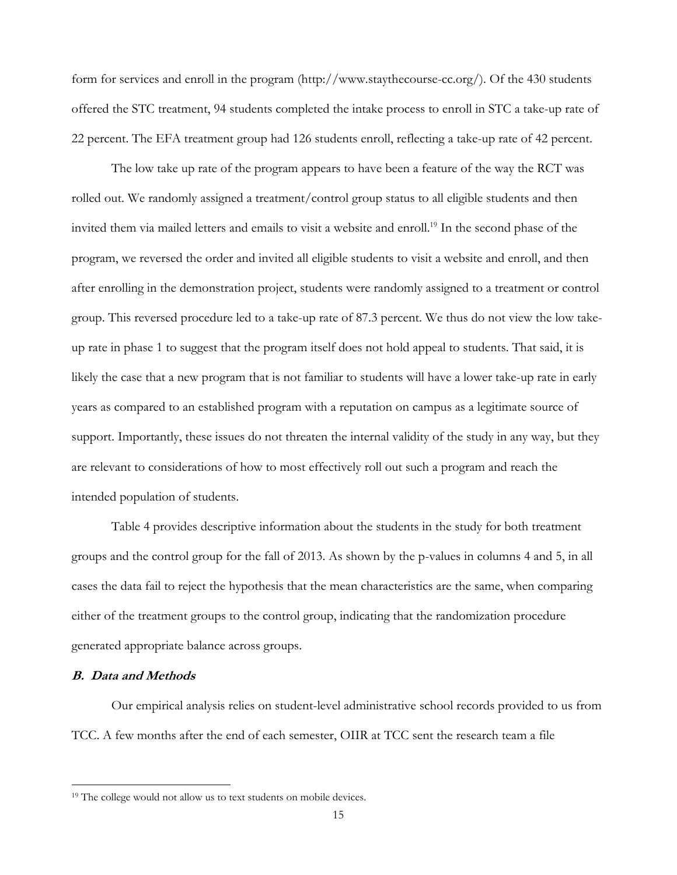form for services and enroll in the program (http://www.staythecourse-cc.org/). Of the 430 students offered the STC treatment, 94 students completed the intake process to enroll in STC a take-up rate of 22 percent. The EFA treatment group had 126 students enroll, reflecting a take-up rate of 42 percent.

The low take up rate of the program appears to have been a feature of the way the RCT was rolled out. We randomly assigned a treatment/control group status to all eligible students and then invited them via mailed letters and emails to visit a website and enroll.<sup>19</sup> In the second phase of the program, we reversed the order and invited all eligible students to visit a website and enroll, and then after enrolling in the demonstration project, students were randomly assigned to a treatment or control group. This reversed procedure led to a take-up rate of 87.3 percent. We thus do not view the low takeup rate in phase 1 to suggest that the program itself does not hold appeal to students. That said, it is likely the case that a new program that is not familiar to students will have a lower take-up rate in early years as compared to an established program with a reputation on campus as a legitimate source of support. Importantly, these issues do not threaten the internal validity of the study in any way, but they are relevant to considerations of how to most effectively roll out such a program and reach the intended population of students.

Table 4 provides descriptive information about the students in the study for both treatment groups and the control group for the fall of 2013. As shown by the p-values in columns 4 and 5, in all cases the data fail to reject the hypothesis that the mean characteristics are the same, when comparing either of the treatment groups to the control group, indicating that the randomization procedure generated appropriate balance across groups.

### **B. Data and Methods**

Our empirical analysis relies on student-level administrative school records provided to us from TCC. A few months after the end of each semester, OIIR at TCC sent the research team a file

<sup>&</sup>lt;sup>19</sup> The college would not allow us to text students on mobile devices.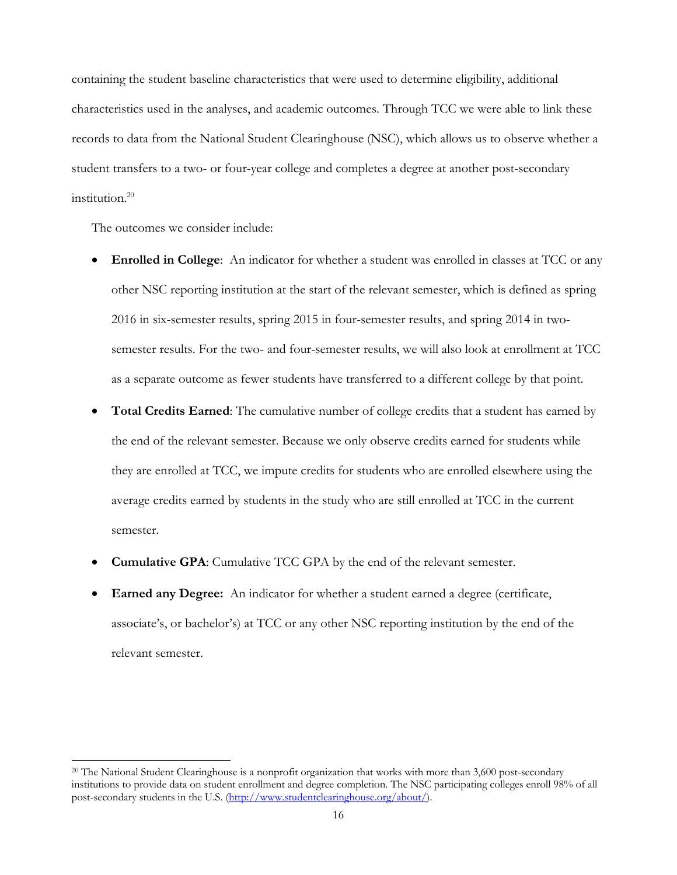containing the student baseline characteristics that were used to determine eligibility, additional characteristics used in the analyses, and academic outcomes. Through TCC we were able to link these records to data from the National Student Clearinghouse (NSC), which allows us to observe whether a student transfers to a two- or four-year college and completes a degree at another post-secondary institution.<sup>20</sup>

The outcomes we consider include:

- **Enrolled in College**: An indicator for whether a student was enrolled in classes at TCC or any other NSC reporting institution at the start of the relevant semester, which is defined as spring 2016 in six-semester results, spring 2015 in four-semester results, and spring 2014 in twosemester results. For the two- and four-semester results, we will also look at enrollment at TCC as a separate outcome as fewer students have transferred to a different college by that point.
- **Total Credits Earned**: The cumulative number of college credits that a student has earned by the end of the relevant semester. Because we only observe credits earned for students while they are enrolled at TCC, we impute credits for students who are enrolled elsewhere using the average credits earned by students in the study who are still enrolled at TCC in the current semester.
- **Cumulative GPA**: Cumulative TCC GPA by the end of the relevant semester.
- **Earned any Degree:** An indicator for whether a student earned a degree (certificate, associate's, or bachelor's) at TCC or any other NSC reporting institution by the end of the relevant semester.

<sup>&</sup>lt;sup>20</sup> The National Student Clearinghouse is a nonprofit organization that works with more than 3,600 post-secondary institutions to provide data on student enrollment and degree completion. The NSC participating colleges enroll 98% of all post-secondary students in the U.S. (http://www.studentclearinghouse.org/about/).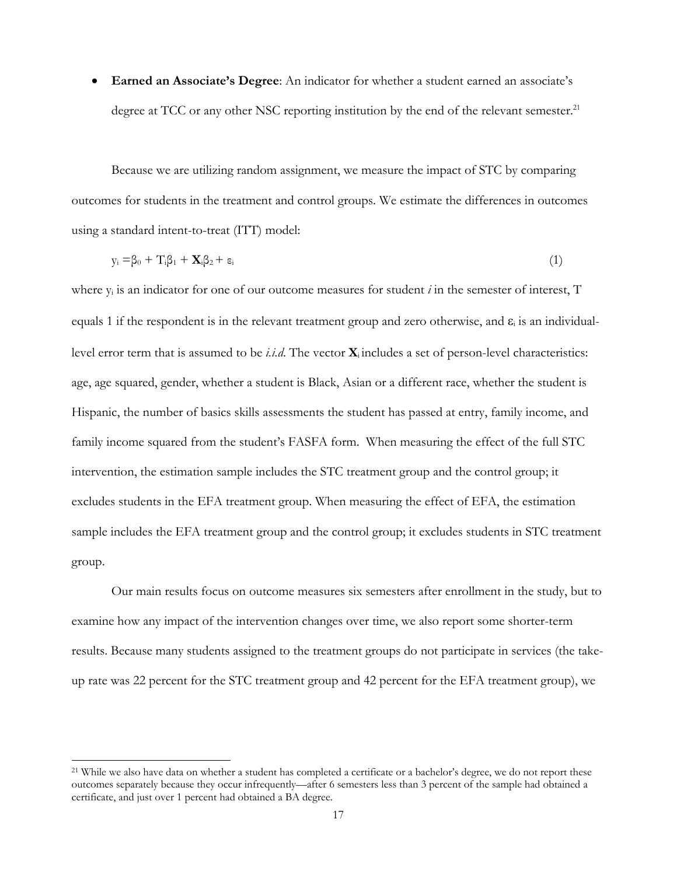**Earned an Associate's Degree**: An indicator for whether a student earned an associate's degree at TCC or any other NSC reporting institution by the end of the relevant semester.<sup>21</sup>

Because we are utilizing random assignment, we measure the impact of STC by comparing outcomes for students in the treatment and control groups. We estimate the differences in outcomes using a standard intent-to-treat (ITT) model:

$$
y_i = \beta_0 + T_i \beta_1 + \mathbf{X}_i \beta_2 + \varepsilon_i \tag{1}
$$

where  $y_i$  is an indicator for one of our outcome measures for student *i* in the semester of interest, T equals 1 if the respondent is in the relevant treatment group and zero otherwise, and  $\varepsilon_i$  is an individuallevel error term that is assumed to be *i.i.d*. The vector **X**i includes a set of person-level characteristics: age, age squared, gender, whether a student is Black, Asian or a different race, whether the student is Hispanic, the number of basics skills assessments the student has passed at entry, family income, and family income squared from the student's FASFA form. When measuring the effect of the full STC intervention, the estimation sample includes the STC treatment group and the control group; it excludes students in the EFA treatment group. When measuring the effect of EFA, the estimation sample includes the EFA treatment group and the control group; it excludes students in STC treatment group.

Our main results focus on outcome measures six semesters after enrollment in the study, but to examine how any impact of the intervention changes over time, we also report some shorter-term results. Because many students assigned to the treatment groups do not participate in services (the takeup rate was 22 percent for the STC treatment group and 42 percent for the EFA treatment group), we

<sup>&</sup>lt;sup>21</sup> While we also have data on whether a student has completed a certificate or a bachelor's degree, we do not report these outcomes separately because they occur infrequently—after 6 semesters less than 3 percent of the sample had obtained a certificate, and just over 1 percent had obtained a BA degree.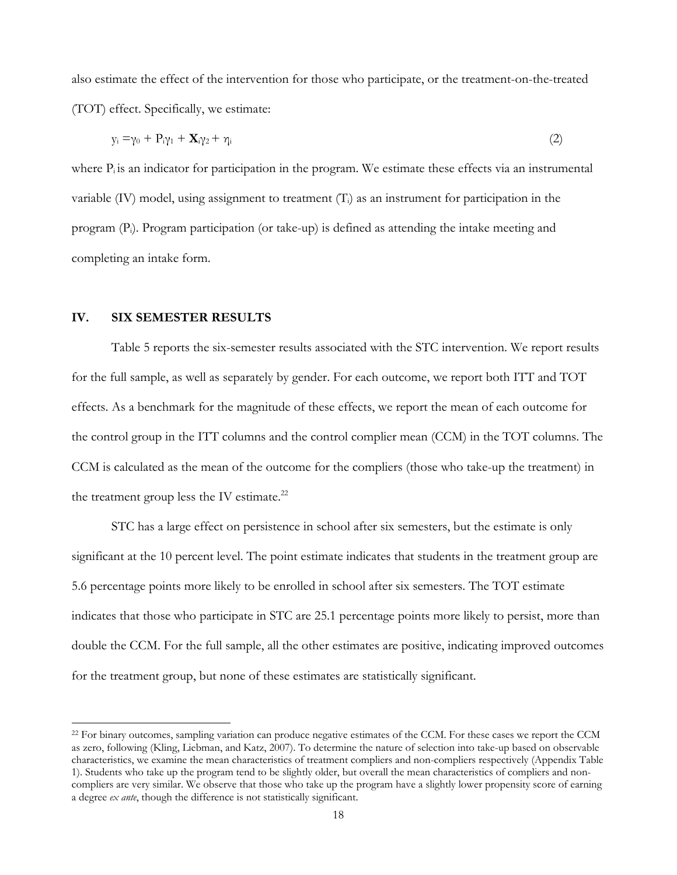also estimate the effect of the intervention for those who participate, or the treatment-on-the-treated (TOT) effect. Specifically, we estimate:

$$
y_i = \gamma_0 + P_i \gamma_1 + \mathbf{X}_i \gamma_2 + \gamma_i \tag{2}
$$

where  $P_i$  is an indicator for participation in the program. We estimate these effects via an instrumental variable  $(IV)$  model, using assignment to treatment  $(T<sub>i</sub>)$  as an instrument for participation in the program (Pi). Program participation (or take-up) is defined as attending the intake meeting and completing an intake form.

#### **IV. SIX SEMESTER RESULTS**

Table 5 reports the six-semester results associated with the STC intervention. We report results for the full sample, as well as separately by gender. For each outcome, we report both ITT and TOT effects. As a benchmark for the magnitude of these effects, we report the mean of each outcome for the control group in the ITT columns and the control complier mean (CCM) in the TOT columns. The CCM is calculated as the mean of the outcome for the compliers (those who take-up the treatment) in the treatment group less the IV estimate. $^{22}$ 

STC has a large effect on persistence in school after six semesters, but the estimate is only significant at the 10 percent level. The point estimate indicates that students in the treatment group are 5.6 percentage points more likely to be enrolled in school after six semesters. The TOT estimate indicates that those who participate in STC are 25.1 percentage points more likely to persist, more than double the CCM. For the full sample, all the other estimates are positive, indicating improved outcomes for the treatment group, but none of these estimates are statistically significant.

<sup>&</sup>lt;sup>22</sup> For binary outcomes, sampling variation can produce negative estimates of the CCM. For these cases we report the CCM as zero, following (Kling, Liebman, and Katz, 2007). To determine the nature of selection into take-up based on observable characteristics, we examine the mean characteristics of treatment compliers and non-compliers respectively (Appendix Table 1). Students who take up the program tend to be slightly older, but overall the mean characteristics of compliers and noncompliers are very similar. We observe that those who take up the program have a slightly lower propensity score of earning a degree *ex ante*, though the difference is not statistically significant.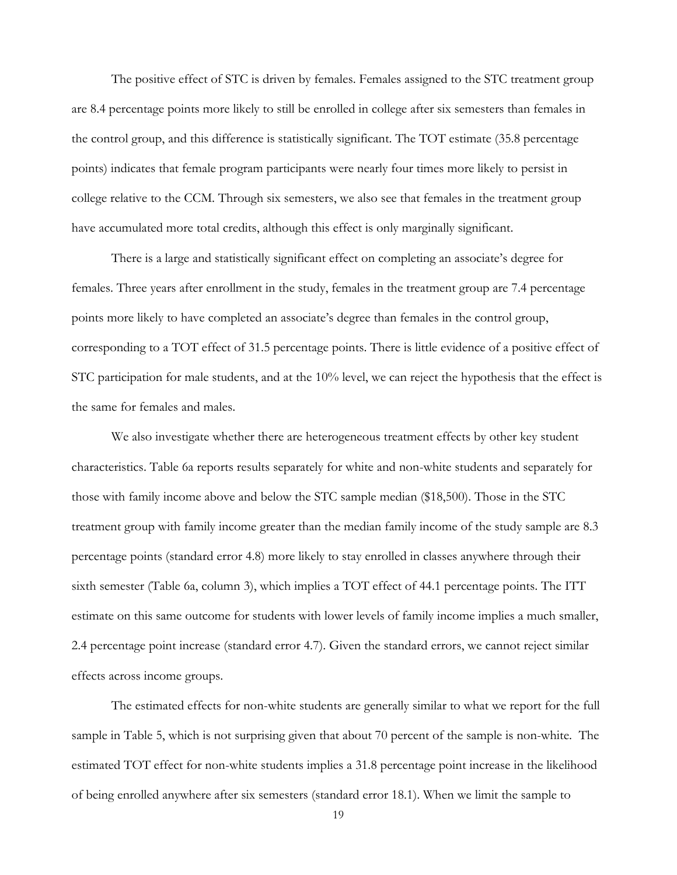The positive effect of STC is driven by females. Females assigned to the STC treatment group are 8.4 percentage points more likely to still be enrolled in college after six semesters than females in the control group, and this difference is statistically significant. The TOT estimate (35.8 percentage points) indicates that female program participants were nearly four times more likely to persist in college relative to the CCM. Through six semesters, we also see that females in the treatment group have accumulated more total credits, although this effect is only marginally significant.

There is a large and statistically significant effect on completing an associate's degree for females. Three years after enrollment in the study, females in the treatment group are 7.4 percentage points more likely to have completed an associate's degree than females in the control group, corresponding to a TOT effect of 31.5 percentage points. There is little evidence of a positive effect of STC participation for male students, and at the 10% level, we can reject the hypothesis that the effect is the same for females and males.

We also investigate whether there are heterogeneous treatment effects by other key student characteristics. Table 6a reports results separately for white and non-white students and separately for those with family income above and below the STC sample median (\$18,500). Those in the STC treatment group with family income greater than the median family income of the study sample are 8.3 percentage points (standard error 4.8) more likely to stay enrolled in classes anywhere through their sixth semester (Table 6a, column 3), which implies a TOT effect of 44.1 percentage points. The ITT estimate on this same outcome for students with lower levels of family income implies a much smaller, 2.4 percentage point increase (standard error 4.7). Given the standard errors, we cannot reject similar effects across income groups.

The estimated effects for non-white students are generally similar to what we report for the full sample in Table 5, which is not surprising given that about 70 percent of the sample is non-white. The estimated TOT effect for non-white students implies a 31.8 percentage point increase in the likelihood of being enrolled anywhere after six semesters (standard error 18.1). When we limit the sample to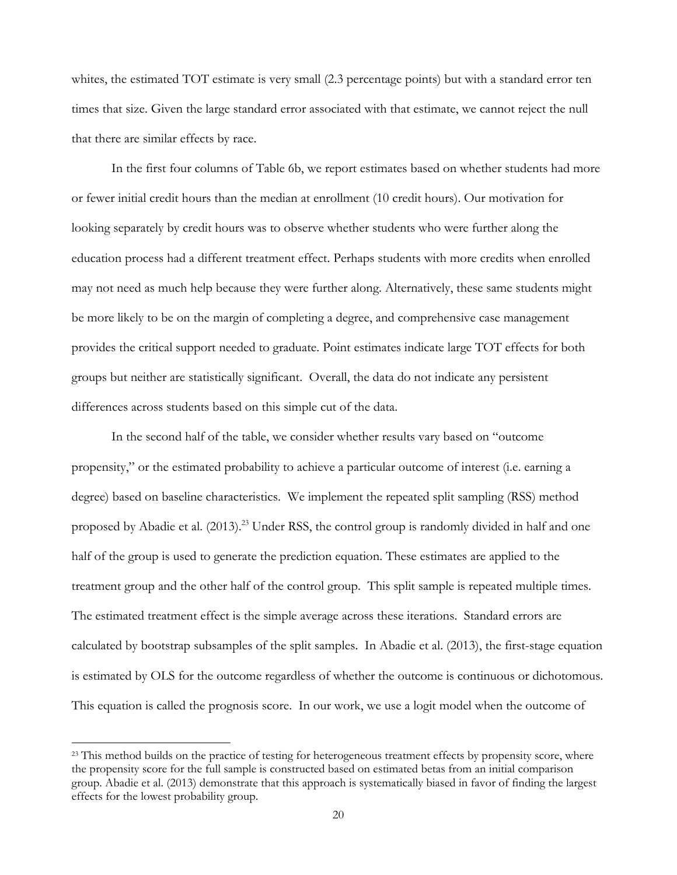whites, the estimated TOT estimate is very small (2.3 percentage points) but with a standard error ten times that size. Given the large standard error associated with that estimate, we cannot reject the null that there are similar effects by race.

In the first four columns of Table 6b, we report estimates based on whether students had more or fewer initial credit hours than the median at enrollment (10 credit hours). Our motivation for looking separately by credit hours was to observe whether students who were further along the education process had a different treatment effect. Perhaps students with more credits when enrolled may not need as much help because they were further along. Alternatively, these same students might be more likely to be on the margin of completing a degree, and comprehensive case management provides the critical support needed to graduate. Point estimates indicate large TOT effects for both groups but neither are statistically significant. Overall, the data do not indicate any persistent differences across students based on this simple cut of the data.

In the second half of the table, we consider whether results vary based on "outcome propensity," or the estimated probability to achieve a particular outcome of interest (i.e. earning a degree) based on baseline characteristics. We implement the repeated split sampling (RSS) method proposed by Abadie et al. (2013).<sup>23</sup> Under RSS, the control group is randomly divided in half and one half of the group is used to generate the prediction equation. These estimates are applied to the treatment group and the other half of the control group. This split sample is repeated multiple times. The estimated treatment effect is the simple average across these iterations. Standard errors are calculated by bootstrap subsamples of the split samples. In Abadie et al. (2013), the first-stage equation is estimated by OLS for the outcome regardless of whether the outcome is continuous or dichotomous. This equation is called the prognosis score. In our work, we use a logit model when the outcome of

<sup>&</sup>lt;sup>23</sup> This method builds on the practice of testing for heterogeneous treatment effects by propensity score, where the propensity score for the full sample is constructed based on estimated betas from an initial comparison group. Abadie et al. (2013) demonstrate that this approach is systematically biased in favor of finding the largest effects for the lowest probability group.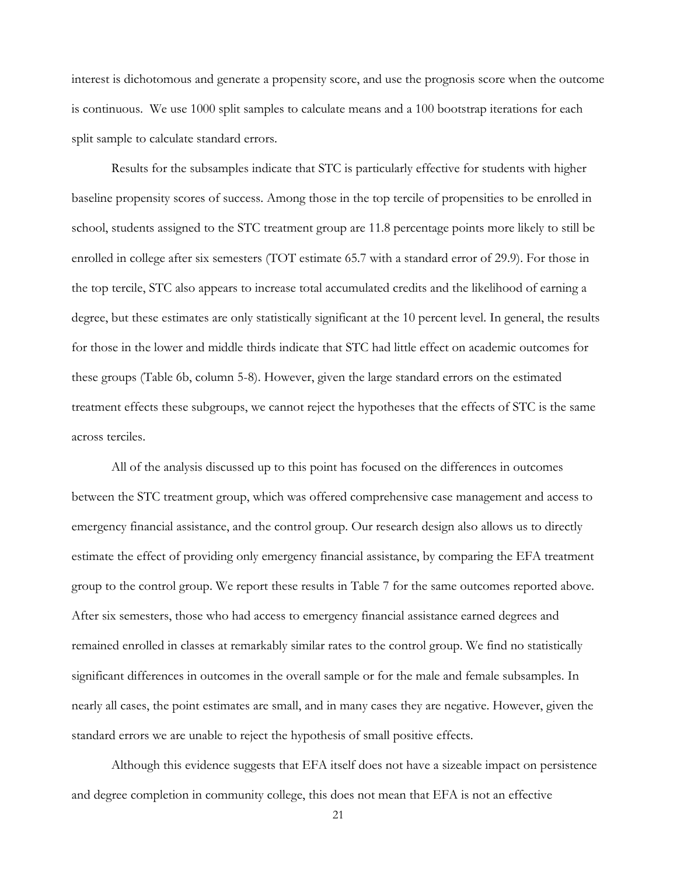interest is dichotomous and generate a propensity score, and use the prognosis score when the outcome is continuous. We use 1000 split samples to calculate means and a 100 bootstrap iterations for each split sample to calculate standard errors.

Results for the subsamples indicate that STC is particularly effective for students with higher baseline propensity scores of success. Among those in the top tercile of propensities to be enrolled in school, students assigned to the STC treatment group are 11.8 percentage points more likely to still be enrolled in college after six semesters (TOT estimate 65.7 with a standard error of 29.9). For those in the top tercile, STC also appears to increase total accumulated credits and the likelihood of earning a degree, but these estimates are only statistically significant at the 10 percent level. In general, the results for those in the lower and middle thirds indicate that STC had little effect on academic outcomes for these groups (Table 6b, column 5-8). However, given the large standard errors on the estimated treatment effects these subgroups, we cannot reject the hypotheses that the effects of STC is the same across terciles.

All of the analysis discussed up to this point has focused on the differences in outcomes between the STC treatment group, which was offered comprehensive case management and access to emergency financial assistance, and the control group. Our research design also allows us to directly estimate the effect of providing only emergency financial assistance, by comparing the EFA treatment group to the control group. We report these results in Table 7 for the same outcomes reported above. After six semesters, those who had access to emergency financial assistance earned degrees and remained enrolled in classes at remarkably similar rates to the control group. We find no statistically significant differences in outcomes in the overall sample or for the male and female subsamples. In nearly all cases, the point estimates are small, and in many cases they are negative. However, given the standard errors we are unable to reject the hypothesis of small positive effects.

Although this evidence suggests that EFA itself does not have a sizeable impact on persistence and degree completion in community college, this does not mean that EFA is not an effective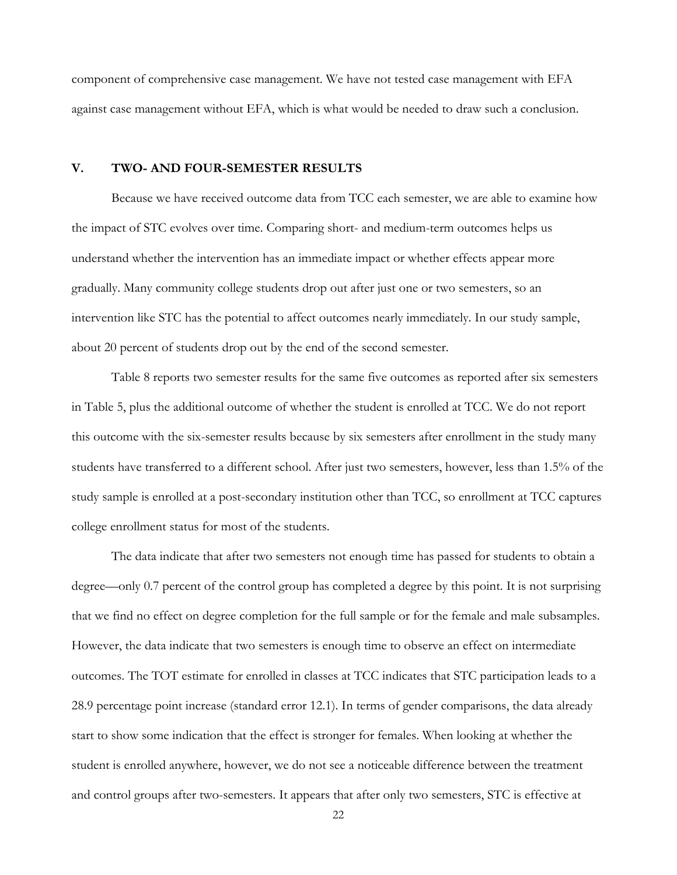component of comprehensive case management. We have not tested case management with EFA against case management without EFA, which is what would be needed to draw such a conclusion.

### **V. TWO- AND FOUR-SEMESTER RESULTS**

Because we have received outcome data from TCC each semester, we are able to examine how the impact of STC evolves over time. Comparing short- and medium-term outcomes helps us understand whether the intervention has an immediate impact or whether effects appear more gradually. Many community college students drop out after just one or two semesters, so an intervention like STC has the potential to affect outcomes nearly immediately. In our study sample, about 20 percent of students drop out by the end of the second semester.

Table 8 reports two semester results for the same five outcomes as reported after six semesters in Table 5, plus the additional outcome of whether the student is enrolled at TCC. We do not report this outcome with the six-semester results because by six semesters after enrollment in the study many students have transferred to a different school. After just two semesters, however, less than 1.5% of the study sample is enrolled at a post-secondary institution other than TCC, so enrollment at TCC captures college enrollment status for most of the students.

The data indicate that after two semesters not enough time has passed for students to obtain a degree—only 0.7 percent of the control group has completed a degree by this point. It is not surprising that we find no effect on degree completion for the full sample or for the female and male subsamples. However, the data indicate that two semesters is enough time to observe an effect on intermediate outcomes. The TOT estimate for enrolled in classes at TCC indicates that STC participation leads to a 28.9 percentage point increase (standard error 12.1). In terms of gender comparisons, the data already start to show some indication that the effect is stronger for females. When looking at whether the student is enrolled anywhere, however, we do not see a noticeable difference between the treatment and control groups after two-semesters. It appears that after only two semesters, STC is effective at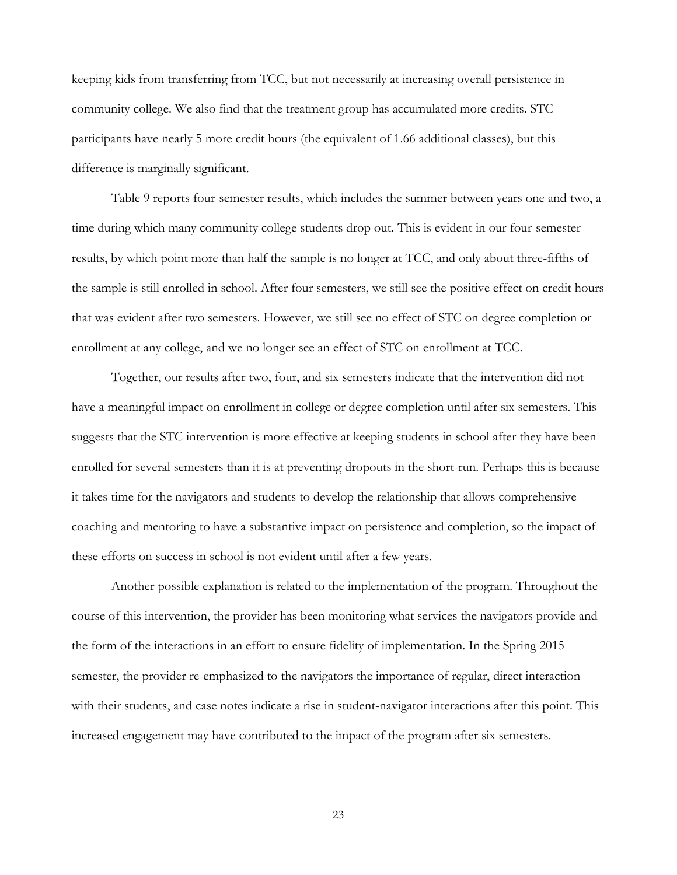keeping kids from transferring from TCC, but not necessarily at increasing overall persistence in community college. We also find that the treatment group has accumulated more credits. STC participants have nearly 5 more credit hours (the equivalent of 1.66 additional classes), but this difference is marginally significant.

Table 9 reports four-semester results, which includes the summer between years one and two, a time during which many community college students drop out. This is evident in our four-semester results, by which point more than half the sample is no longer at TCC, and only about three-fifths of the sample is still enrolled in school. After four semesters, we still see the positive effect on credit hours that was evident after two semesters. However, we still see no effect of STC on degree completion or enrollment at any college, and we no longer see an effect of STC on enrollment at TCC.

Together, our results after two, four, and six semesters indicate that the intervention did not have a meaningful impact on enrollment in college or degree completion until after six semesters. This suggests that the STC intervention is more effective at keeping students in school after they have been enrolled for several semesters than it is at preventing dropouts in the short-run. Perhaps this is because it takes time for the navigators and students to develop the relationship that allows comprehensive coaching and mentoring to have a substantive impact on persistence and completion, so the impact of these efforts on success in school is not evident until after a few years.

Another possible explanation is related to the implementation of the program. Throughout the course of this intervention, the provider has been monitoring what services the navigators provide and the form of the interactions in an effort to ensure fidelity of implementation. In the Spring 2015 semester, the provider re-emphasized to the navigators the importance of regular, direct interaction with their students, and case notes indicate a rise in student-navigator interactions after this point. This increased engagement may have contributed to the impact of the program after six semesters.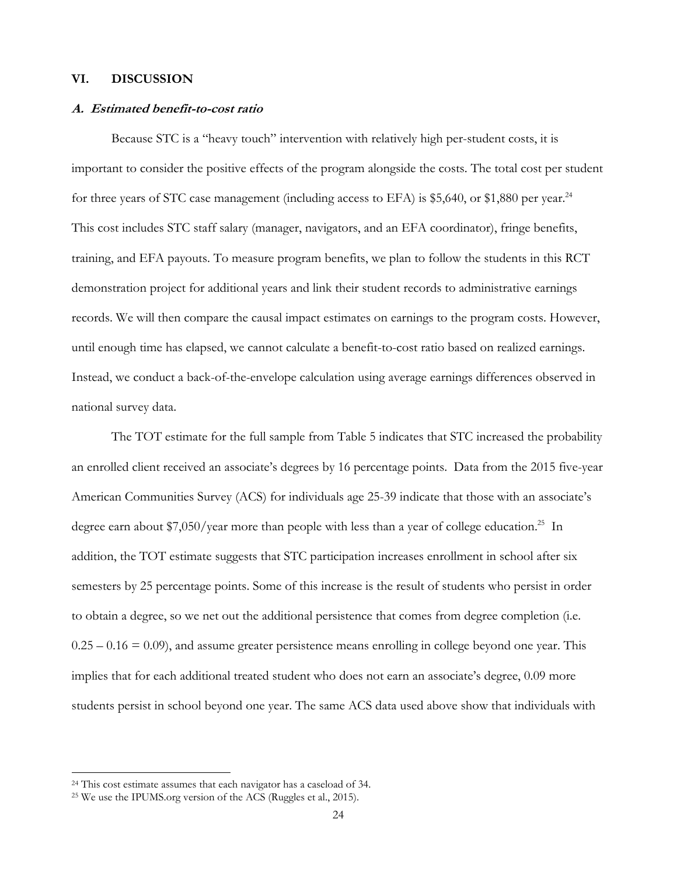### **VI. DISCUSSION**

#### **A. Estimated benefit-to-cost ratio**

Because STC is a "heavy touch" intervention with relatively high per-student costs, it is important to consider the positive effects of the program alongside the costs. The total cost per student for three years of STC case management (including access to EFA) is \$5,640, or \$1,880 per year.<sup>24</sup> This cost includes STC staff salary (manager, navigators, and an EFA coordinator), fringe benefits, training, and EFA payouts. To measure program benefits, we plan to follow the students in this RCT demonstration project for additional years and link their student records to administrative earnings records. We will then compare the causal impact estimates on earnings to the program costs. However, until enough time has elapsed, we cannot calculate a benefit-to-cost ratio based on realized earnings. Instead, we conduct a back-of-the-envelope calculation using average earnings differences observed in national survey data.

The TOT estimate for the full sample from Table 5 indicates that STC increased the probability an enrolled client received an associate's degrees by 16 percentage points. Data from the 2015 five-year American Communities Survey (ACS) for individuals age 25-39 indicate that those with an associate's degree earn about \$7,050/year more than people with less than a year of college education.<sup>25</sup> In addition, the TOT estimate suggests that STC participation increases enrollment in school after six semesters by 25 percentage points. Some of this increase is the result of students who persist in order to obtain a degree, so we net out the additional persistence that comes from degree completion (i.e.  $0.25 - 0.16 = 0.09$ ), and assume greater persistence means enrolling in college beyond one year. This implies that for each additional treated student who does not earn an associate's degree, 0.09 more students persist in school beyond one year. The same ACS data used above show that individuals with

<sup>&</sup>lt;sup>24</sup> This cost estimate assumes that each navigator has a caseload of 34.

<sup>25</sup> We use the IPUMS.org version of the ACS (Ruggles et al., 2015).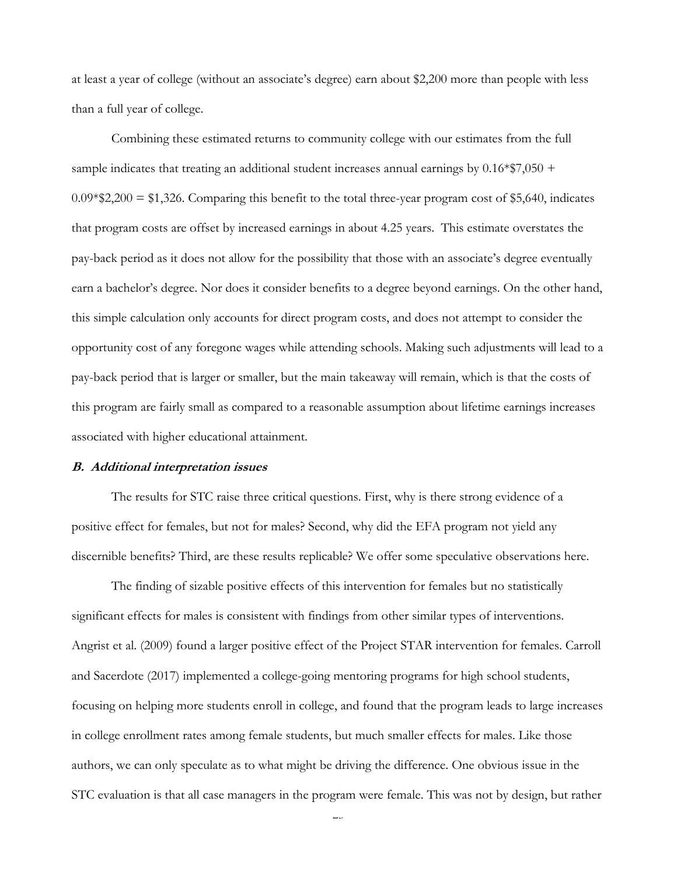at least a year of college (without an associate's degree) earn about \$2,200 more than people with less than a full year of college.

Combining these estimated returns to community college with our estimates from the full sample indicates that treating an additional student increases annual earnings by  $0.16*$ \$7,050 +  $0.09*$ \$2,200 = \$1,326. Comparing this benefit to the total three-year program cost of \$5,640, indicates that program costs are offset by increased earnings in about 4.25 years. This estimate overstates the pay-back period as it does not allow for the possibility that those with an associate's degree eventually earn a bachelor's degree. Nor does it consider benefits to a degree beyond earnings. On the other hand, this simple calculation only accounts for direct program costs, and does not attempt to consider the opportunity cost of any foregone wages while attending schools. Making such adjustments will lead to a pay-back period that is larger or smaller, but the main takeaway will remain, which is that the costs of this program are fairly small as compared to a reasonable assumption about lifetime earnings increases associated with higher educational attainment.

#### **B. Additional interpretation issues**

 The results for STC raise three critical questions. First, why is there strong evidence of a positive effect for females, but not for males? Second, why did the EFA program not yield any discernible benefits? Third, are these results replicable? We offer some speculative observations here.

The finding of sizable positive effects of this intervention for females but no statistically significant effects for males is consistent with findings from other similar types of interventions. Angrist et al. (2009) found a larger positive effect of the Project STAR intervention for females. Carroll and Sacerdote (2017) implemented a college-going mentoring programs for high school students, focusing on helping more students enroll in college, and found that the program leads to large increases in college enrollment rates among female students, but much smaller effects for males. Like those authors, we can only speculate as to what might be driving the difference. One obvious issue in the STC evaluation is that all case managers in the program were female. This was not by design, but rather

 $\overline{\phantom{0}}$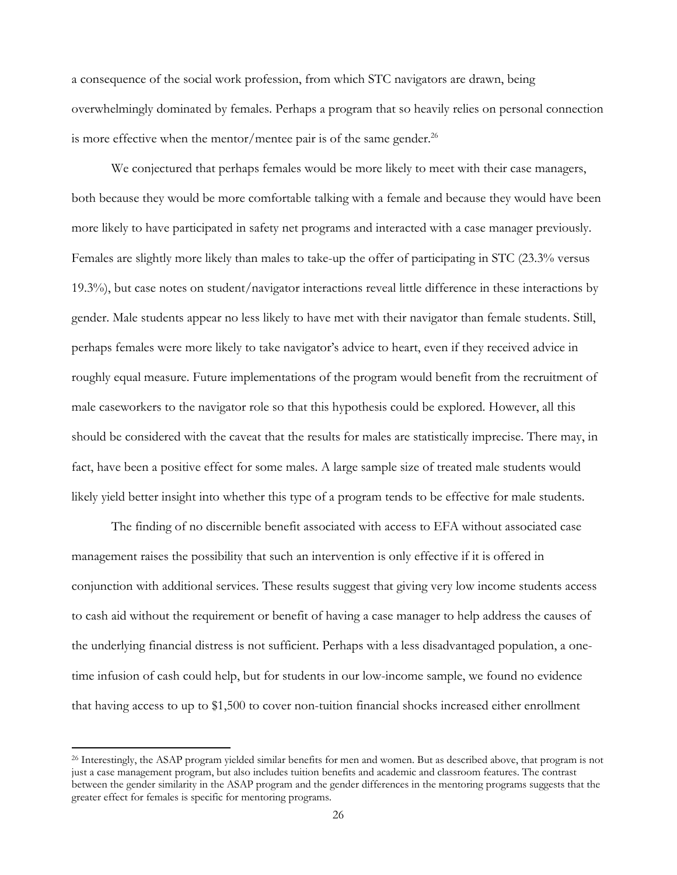a consequence of the social work profession, from which STC navigators are drawn, being overwhelmingly dominated by females. Perhaps a program that so heavily relies on personal connection is more effective when the mentor/mentee pair is of the same gender.<sup>26</sup>

We conjectured that perhaps females would be more likely to meet with their case managers, both because they would be more comfortable talking with a female and because they would have been more likely to have participated in safety net programs and interacted with a case manager previously. Females are slightly more likely than males to take-up the offer of participating in STC (23.3% versus 19.3%), but case notes on student/navigator interactions reveal little difference in these interactions by gender. Male students appear no less likely to have met with their navigator than female students. Still, perhaps females were more likely to take navigator's advice to heart, even if they received advice in roughly equal measure. Future implementations of the program would benefit from the recruitment of male caseworkers to the navigator role so that this hypothesis could be explored. However, all this should be considered with the caveat that the results for males are statistically imprecise. There may, in fact, have been a positive effect for some males. A large sample size of treated male students would likely yield better insight into whether this type of a program tends to be effective for male students.

The finding of no discernible benefit associated with access to EFA without associated case management raises the possibility that such an intervention is only effective if it is offered in conjunction with additional services. These results suggest that giving very low income students access to cash aid without the requirement or benefit of having a case manager to help address the causes of the underlying financial distress is not sufficient. Perhaps with a less disadvantaged population, a onetime infusion of cash could help, but for students in our low-income sample, we found no evidence that having access to up to \$1,500 to cover non-tuition financial shocks increased either enrollment

<sup>&</sup>lt;sup>26</sup> Interestingly, the ASAP program yielded similar benefits for men and women. But as described above, that program is not just a case management program, but also includes tuition benefits and academic and classroom features. The contrast between the gender similarity in the ASAP program and the gender differences in the mentoring programs suggests that the greater effect for females is specific for mentoring programs.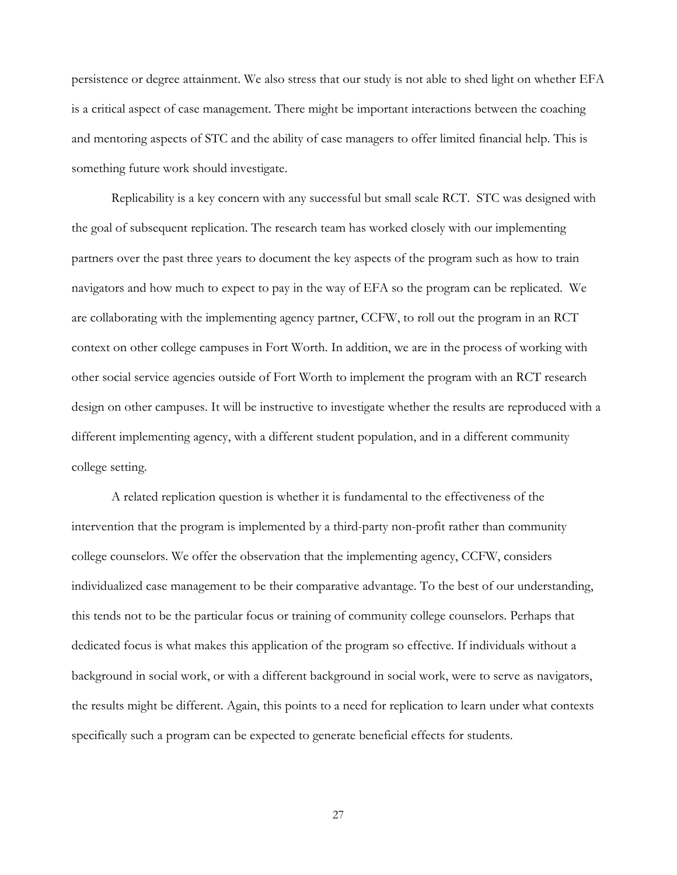persistence or degree attainment. We also stress that our study is not able to shed light on whether EFA is a critical aspect of case management. There might be important interactions between the coaching and mentoring aspects of STC and the ability of case managers to offer limited financial help. This is something future work should investigate.

 Replicability is a key concern with any successful but small scale RCT. STC was designed with the goal of subsequent replication. The research team has worked closely with our implementing partners over the past three years to document the key aspects of the program such as how to train navigators and how much to expect to pay in the way of EFA so the program can be replicated. We are collaborating with the implementing agency partner, CCFW, to roll out the program in an RCT context on other college campuses in Fort Worth. In addition, we are in the process of working with other social service agencies outside of Fort Worth to implement the program with an RCT research design on other campuses. It will be instructive to investigate whether the results are reproduced with a different implementing agency, with a different student population, and in a different community college setting.

 A related replication question is whether it is fundamental to the effectiveness of the intervention that the program is implemented by a third-party non-profit rather than community college counselors. We offer the observation that the implementing agency, CCFW, considers individualized case management to be their comparative advantage. To the best of our understanding, this tends not to be the particular focus or training of community college counselors. Perhaps that dedicated focus is what makes this application of the program so effective. If individuals without a background in social work, or with a different background in social work, were to serve as navigators, the results might be different. Again, this points to a need for replication to learn under what contexts specifically such a program can be expected to generate beneficial effects for students.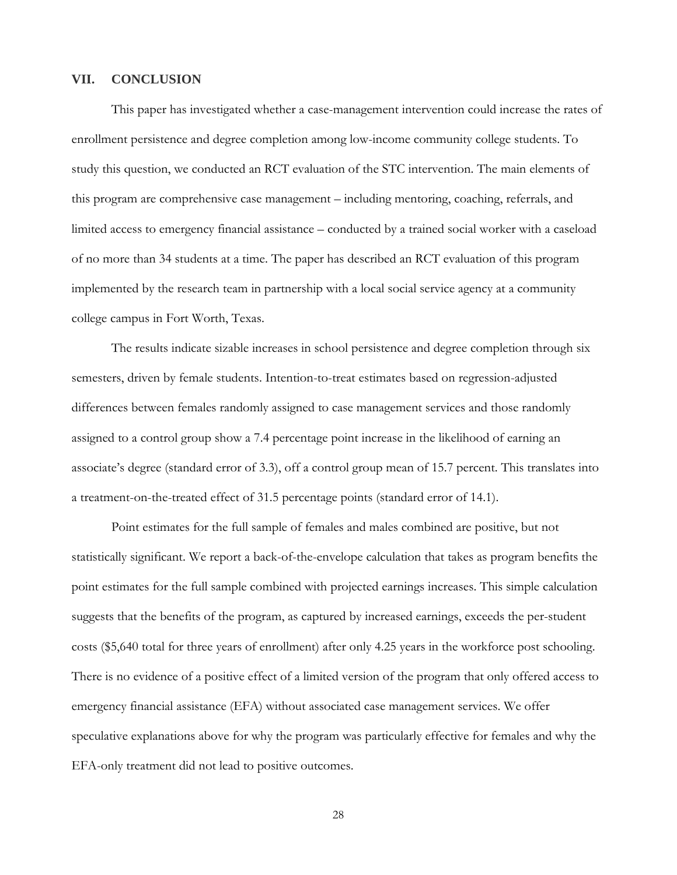#### **VII. CONCLUSION**

This paper has investigated whether a case-management intervention could increase the rates of enrollment persistence and degree completion among low-income community college students. To study this question, we conducted an RCT evaluation of the STC intervention. The main elements of this program are comprehensive case management – including mentoring, coaching, referrals, and limited access to emergency financial assistance – conducted by a trained social worker with a caseload of no more than 34 students at a time. The paper has described an RCT evaluation of this program implemented by the research team in partnership with a local social service agency at a community college campus in Fort Worth, Texas.

The results indicate sizable increases in school persistence and degree completion through six semesters, driven by female students. Intention-to-treat estimates based on regression-adjusted differences between females randomly assigned to case management services and those randomly assigned to a control group show a 7.4 percentage point increase in the likelihood of earning an associate's degree (standard error of 3.3), off a control group mean of 15.7 percent. This translates into a treatment-on-the-treated effect of 31.5 percentage points (standard error of 14.1).

Point estimates for the full sample of females and males combined are positive, but not statistically significant. We report a back-of-the-envelope calculation that takes as program benefits the point estimates for the full sample combined with projected earnings increases. This simple calculation suggests that the benefits of the program, as captured by increased earnings, exceeds the per-student costs (\$5,640 total for three years of enrollment) after only 4.25 years in the workforce post schooling. There is no evidence of a positive effect of a limited version of the program that only offered access to emergency financial assistance (EFA) without associated case management services. We offer speculative explanations above for why the program was particularly effective for females and why the EFA-only treatment did not lead to positive outcomes.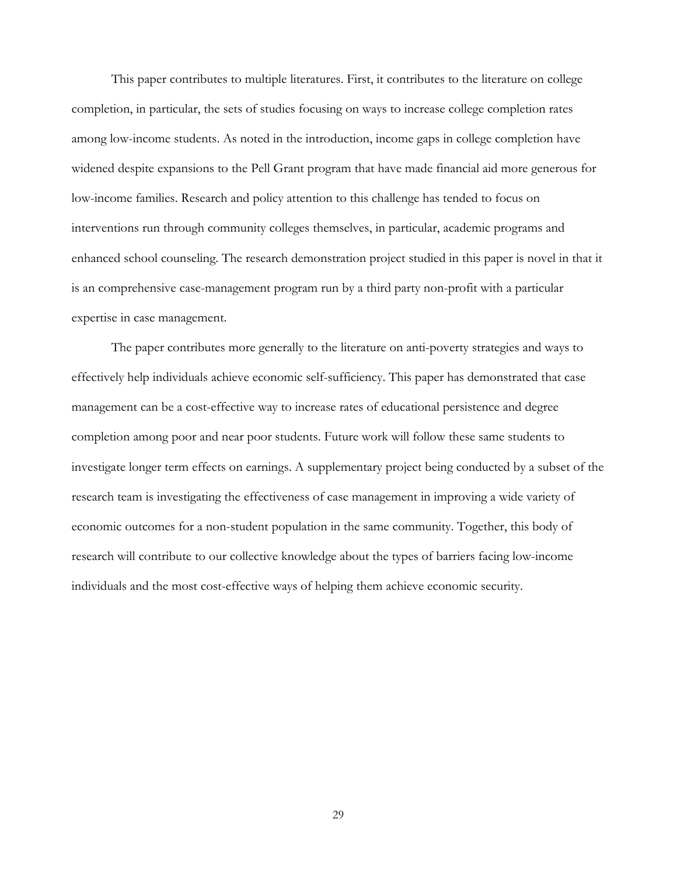This paper contributes to multiple literatures. First, it contributes to the literature on college completion, in particular, the sets of studies focusing on ways to increase college completion rates among low-income students. As noted in the introduction, income gaps in college completion have widened despite expansions to the Pell Grant program that have made financial aid more generous for low-income families. Research and policy attention to this challenge has tended to focus on interventions run through community colleges themselves, in particular, academic programs and enhanced school counseling. The research demonstration project studied in this paper is novel in that it is an comprehensive case-management program run by a third party non-profit with a particular expertise in case management.

The paper contributes more generally to the literature on anti-poverty strategies and ways to effectively help individuals achieve economic self-sufficiency. This paper has demonstrated that case management can be a cost-effective way to increase rates of educational persistence and degree completion among poor and near poor students. Future work will follow these same students to investigate longer term effects on earnings. A supplementary project being conducted by a subset of the research team is investigating the effectiveness of case management in improving a wide variety of economic outcomes for a non-student population in the same community. Together, this body of research will contribute to our collective knowledge about the types of barriers facing low-income individuals and the most cost-effective ways of helping them achieve economic security.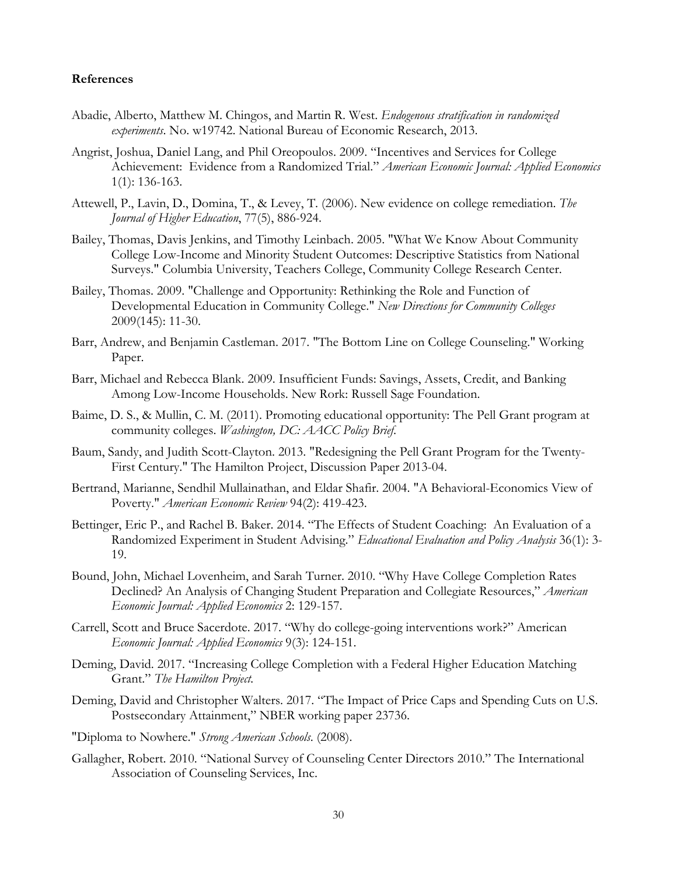#### **References**

- Abadie, Alberto, Matthew M. Chingos, and Martin R. West. *Endogenous stratification in randomized experiments*. No. w19742. National Bureau of Economic Research, 2013.
- Angrist, Joshua, Daniel Lang, and Phil Oreopoulos. 2009. "Incentives and Services for College Achievement: Evidence from a Randomized Trial." *American Economic Journal: Applied Economics* 1(1): 136-163.
- Attewell, P., Lavin, D., Domina, T., & Levey, T. (2006). New evidence on college remediation. *The Journal of Higher Education*, 77(5), 886-924.
- Bailey, Thomas, Davis Jenkins, and Timothy Leinbach. 2005. "What We Know About Community College Low-Income and Minority Student Outcomes: Descriptive Statistics from National Surveys." Columbia University, Teachers College, Community College Research Center.
- Bailey, Thomas. 2009. "Challenge and Opportunity: Rethinking the Role and Function of Developmental Education in Community College." *New Directions for Community Colleges* 2009(145): 11-30.
- Barr, Andrew, and Benjamin Castleman. 2017. "The Bottom Line on College Counseling." Working Paper.
- Barr, Michael and Rebecca Blank. 2009. Insufficient Funds: Savings, Assets, Credit, and Banking Among Low-Income Households. New Rork: Russell Sage Foundation.
- Baime, D. S., & Mullin, C. M. (2011). Promoting educational opportunity: The Pell Grant program at community colleges. *Washington, DC: AACC Policy Brief*.
- Baum, Sandy, and Judith Scott-Clayton. 2013. "Redesigning the Pell Grant Program for the Twenty-First Century." The Hamilton Project, Discussion Paper 2013-04.
- Bertrand, Marianne, Sendhil Mullainathan, and Eldar Shafir. 2004. "A Behavioral-Economics View of Poverty." *American Economic Review* 94(2): 419-423.
- Bettinger, Eric P., and Rachel B. Baker. 2014. "The Effects of Student Coaching: An Evaluation of a Randomized Experiment in Student Advising." *Educational Evaluation and Policy Analysis* 36(1): 3- 19.
- Bound, John, Michael Lovenheim, and Sarah Turner. 2010. "Why Have College Completion Rates Declined? An Analysis of Changing Student Preparation and Collegiate Resources," *American Economic Journal: Applied Economics* 2: 129-157.
- Carrell, Scott and Bruce Sacerdote. 2017. "Why do college-going interventions work?" American *Economic Journal: Applied Economics* 9(3): 124-151.
- Deming, David. 2017. "Increasing College Completion with a Federal Higher Education Matching Grant." *The Hamilton Project.*
- Deming, David and Christopher Walters. 2017. "The Impact of Price Caps and Spending Cuts on U.S. Postsecondary Attainment," NBER working paper 23736.
- "Diploma to Nowhere." *Strong American Schools*. (2008).
- Gallagher, Robert. 2010. "National Survey of Counseling Center Directors 2010." The International Association of Counseling Services, Inc.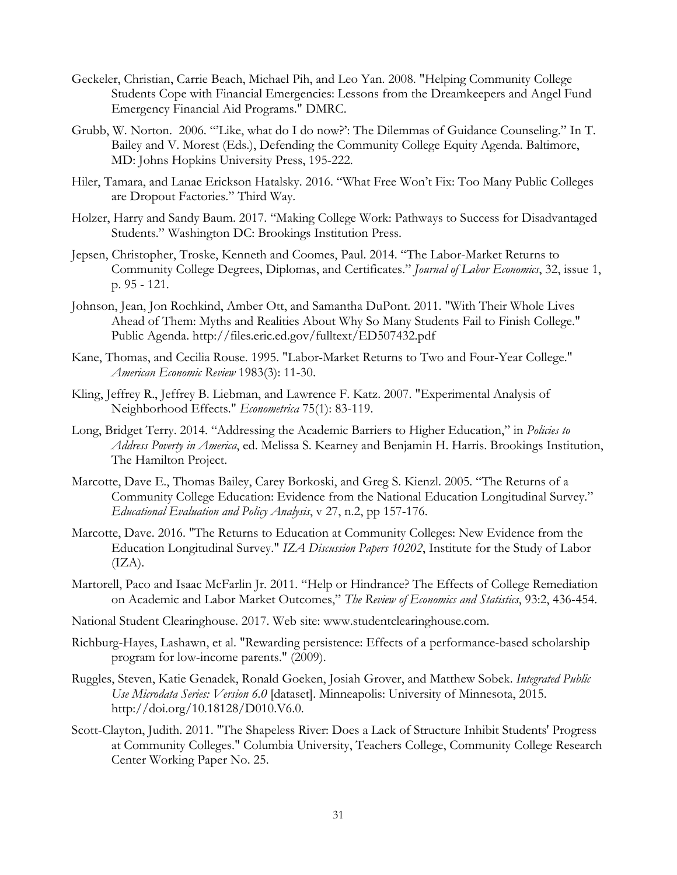- Geckeler, Christian, Carrie Beach, Michael Pih, and Leo Yan. 2008. "Helping Community College Students Cope with Financial Emergencies: Lessons from the Dreamkeepers and Angel Fund Emergency Financial Aid Programs." DMRC.
- Grubb, W. Norton. 2006. "'Like, what do I do now?': The Dilemmas of Guidance Counseling." In T. Bailey and V. Morest (Eds.), Defending the Community College Equity Agenda. Baltimore, MD: Johns Hopkins University Press, 195-222.
- Hiler, Tamara, and Lanae Erickson Hatalsky. 2016. "What Free Won't Fix: Too Many Public Colleges are Dropout Factories." Third Way.
- Holzer, Harry and Sandy Baum. 2017. "Making College Work: Pathways to Success for Disadvantaged Students." Washington DC: Brookings Institution Press.
- Jepsen, Christopher, Troske, Kenneth and Coomes, Paul. 2014. "The Labor-Market Returns to Community College Degrees, Diplomas, and Certificates." *Journal of Labor Economics*, 32, issue 1, p. 95 - 121.
- Johnson, Jean, Jon Rochkind, Amber Ott, and Samantha DuPont. 2011. "With Their Whole Lives Ahead of Them: Myths and Realities About Why So Many Students Fail to Finish College." Public Agenda. http://files.eric.ed.gov/fulltext/ED507432.pdf
- Kane, Thomas, and Cecilia Rouse. 1995. "Labor-Market Returns to Two and Four-Year College." *American Economic Review* 1983(3): 11-30.
- Kling, Jeffrey R., Jeffrey B. Liebman, and Lawrence F. Katz. 2007. "Experimental Analysis of Neighborhood Effects." *Econometrica* 75(1): 83-119.
- Long, Bridget Terry. 2014. "Addressing the Academic Barriers to Higher Education," in *Policies to Address Poverty in America*, ed. Melissa S. Kearney and Benjamin H. Harris. Brookings Institution, The Hamilton Project.
- Marcotte, Dave E., Thomas Bailey, Carey Borkoski, and Greg S. Kienzl. 2005. "The Returns of a Community College Education: Evidence from the National Education Longitudinal Survey." *Educational Evaluation and Policy Analysis*, v 27, n.2, pp 157-176.
- Marcotte, Dave. 2016. "The Returns to Education at Community Colleges: New Evidence from the Education Longitudinal Survey." *IZA Discussion Papers 10202*, Institute for the Study of Labor  $(IZA).$
- Martorell, Paco and Isaac McFarlin Jr. 2011. "Help or Hindrance? The Effects of College Remediation on Academic and Labor Market Outcomes," *The Review of Economics and Statistics*, 93:2, 436-454.
- National Student Clearinghouse. 2017. Web site: www.studentclearinghouse.com.
- Richburg-Hayes, Lashawn, et al. "Rewarding persistence: Effects of a performance-based scholarship program for low-income parents." (2009).
- Ruggles, Steven, Katie Genadek, Ronald Goeken, Josiah Grover, and Matthew Sobek. *Integrated Public Use Microdata Series: Version 6.0* [dataset]. Minneapolis: University of Minnesota, 2015. http://doi.org/10.18128/D010.V6.0.
- Scott-Clayton, Judith. 2011. "The Shapeless River: Does a Lack of Structure Inhibit Students' Progress at Community Colleges." Columbia University, Teachers College, Community College Research Center Working Paper No. 25.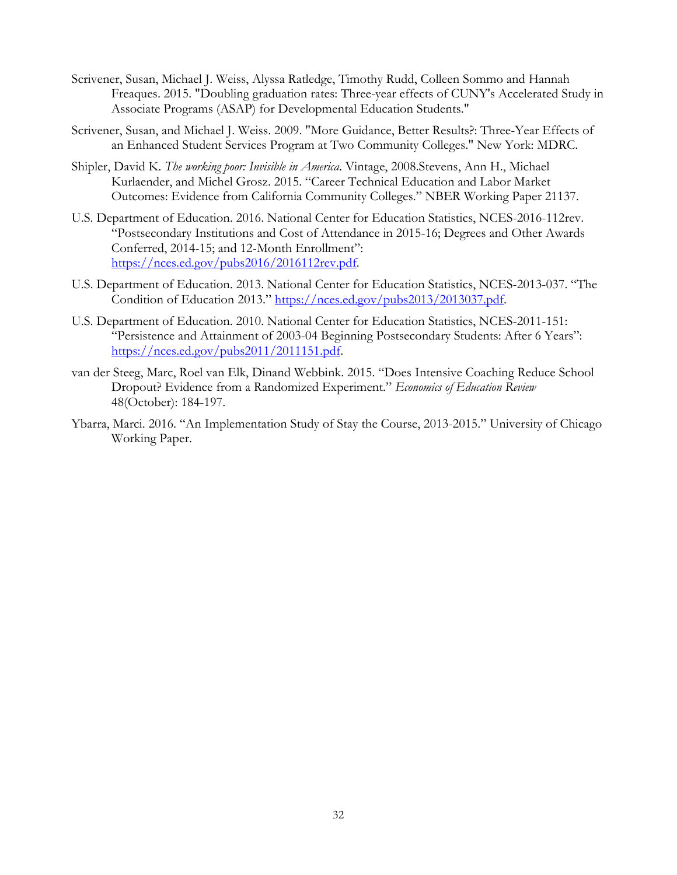- Scrivener, Susan, Michael J. Weiss, Alyssa Ratledge, Timothy Rudd, Colleen Sommo and Hannah Freaques. 2015. "Doubling graduation rates: Three-year effects of CUNY's Accelerated Study in Associate Programs (ASAP) for Developmental Education Students."
- Scrivener, Susan, and Michael J. Weiss. 2009. "More Guidance, Better Results?: Three-Year Effects of an Enhanced Student Services Program at Two Community Colleges." New York: MDRC.
- Shipler, David K. *The working poor: Invisible in America*. Vintage, 2008.Stevens, Ann H., Michael Kurlaender, and Michel Grosz. 2015. "Career Technical Education and Labor Market Outcomes: Evidence from California Community Colleges." NBER Working Paper 21137.
- U.S. Department of Education. 2016. National Center for Education Statistics, NCES-2016-112rev. "Postsecondary Institutions and Cost of Attendance in 2015-16; Degrees and Other Awards Conferred, 2014-15; and 12-Month Enrollment": https://nces.ed.gov/pubs2016/2016112rev.pdf.
- U.S. Department of Education. 2013. National Center for Education Statistics, NCES-2013-037. "The Condition of Education 2013." https://nces.ed.gov/pubs2013/2013037.pdf.
- U.S. Department of Education. 2010. National Center for Education Statistics, NCES-2011-151: "Persistence and Attainment of 2003-04 Beginning Postsecondary Students: After 6 Years": https://nces.ed.gov/pubs2011/2011151.pdf.
- van der Steeg, Marc, Roel van Elk, Dinand Webbink. 2015. "Does Intensive Coaching Reduce School Dropout? Evidence from a Randomized Experiment." *Economics of Education Review*  48(October): 184-197.
- Ybarra, Marci. 2016. "An Implementation Study of Stay the Course, 2013-2015." University of Chicago Working Paper.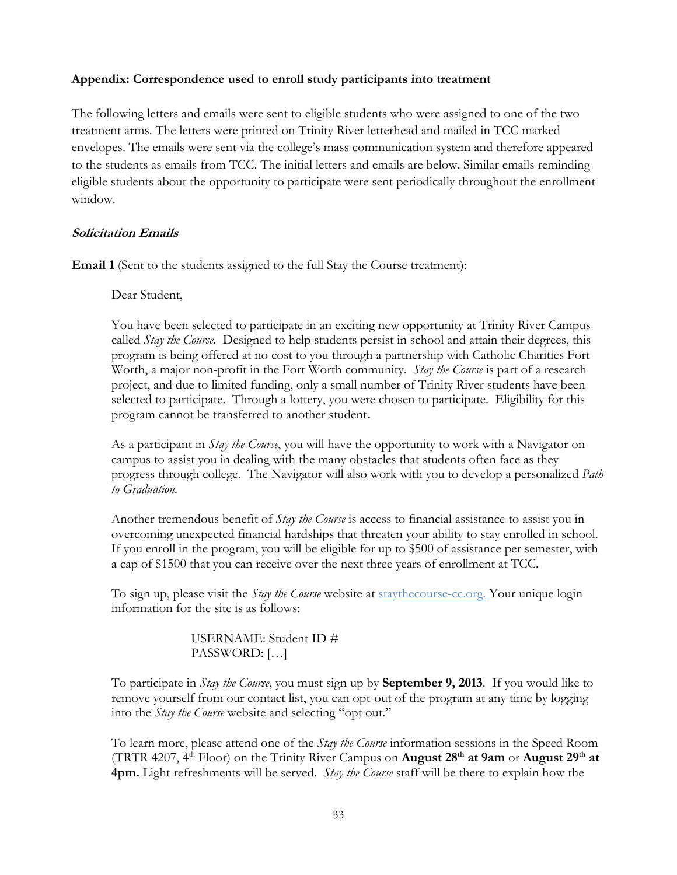## **Appendix: Correspondence used to enroll study participants into treatment**

The following letters and emails were sent to eligible students who were assigned to one of the two treatment arms. The letters were printed on Trinity River letterhead and mailed in TCC marked envelopes. The emails were sent via the college's mass communication system and therefore appeared to the students as emails from TCC. The initial letters and emails are below. Similar emails reminding eligible students about the opportunity to participate were sent periodically throughout the enrollment window.

### **Solicitation Emails**

**Email 1** (Sent to the students assigned to the full Stay the Course treatment):

### Dear Student,

You have been selected to participate in an exciting new opportunity at Trinity River Campus called *Stay the Course.* Designed to help students persist in school and attain their degrees, this program is being offered at no cost to you through a partnership with Catholic Charities Fort Worth, a major non-profit in the Fort Worth community. *Stay the Course* is part of a research project, and due to limited funding, only a small number of Trinity River students have been selected to participate. Through a lottery, you were chosen to participate. Eligibility for this program cannot be transferred to another student**.**

As a participant in *Stay the Course*, you will have the opportunity to work with a Navigator on campus to assist you in dealing with the many obstacles that students often face as they progress through college. The Navigator will also work with you to develop a personalized *Path to Graduation*.

Another tremendous benefit of *Stay the Course* is access to financial assistance to assist you in overcoming unexpected financial hardships that threaten your ability to stay enrolled in school. If you enroll in the program, you will be eligible for up to \$500 of assistance per semester, with a cap of \$1500 that you can receive over the next three years of enrollment at TCC.

To sign up, please visit the *Stay the Course* website at staythecourse-cc.org. Your unique login information for the site is as follows:

# USERNAME: Student ID # PASSWORD: […]

To participate in *Stay the Course*, you must sign up by **September 9, 2013**. If you would like to remove yourself from our contact list, you can opt-out of the program at any time by logging into the *Stay the Course* website and selecting "opt out."

To learn more, please attend one of the *Stay the Course* information sessions in the Speed Room (TRTR 4207, 4th Floor) on the Trinity River Campus on **August 28th at 9am** or **August 29th at 4pm.** Light refreshments will be served. *Stay the Course* staff will be there to explain how the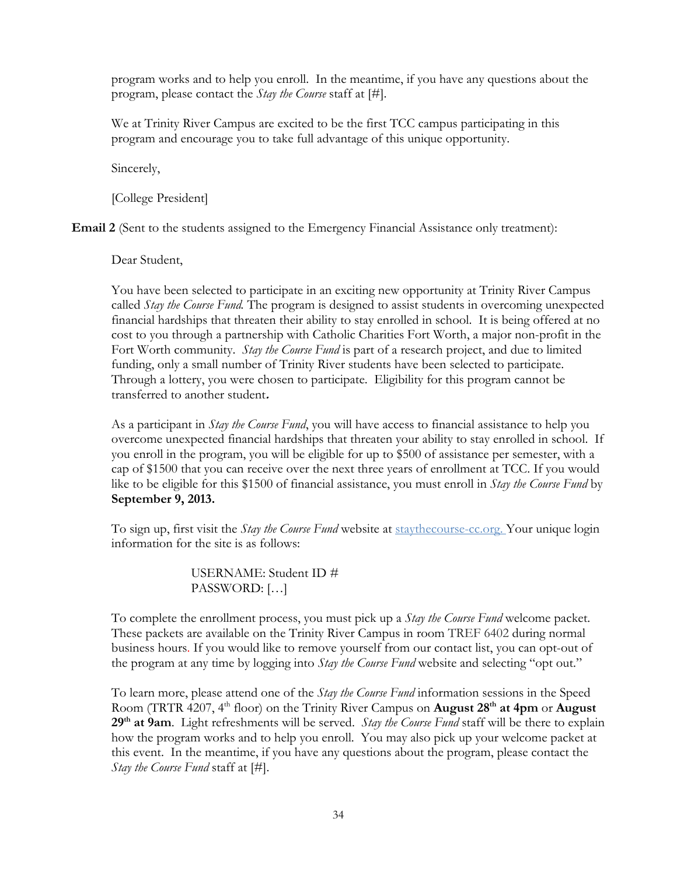program works and to help you enroll. In the meantime, if you have any questions about the program, please contact the *Stay the Course* staff at [#].

We at Trinity River Campus are excited to be the first TCC campus participating in this program and encourage you to take full advantage of this unique opportunity.

Sincerely,

[College President]

**Email 2** (Sent to the students assigned to the Emergency Financial Assistance only treatment):

Dear Student,

You have been selected to participate in an exciting new opportunity at Trinity River Campus called *Stay the Course Fund.* The program is designed to assist students in overcoming unexpected financial hardships that threaten their ability to stay enrolled in school. It is being offered at no cost to you through a partnership with Catholic Charities Fort Worth, a major non-profit in the Fort Worth community. *Stay the Course Fund* is part of a research project, and due to limited funding, only a small number of Trinity River students have been selected to participate. Through a lottery, you were chosen to participate. Eligibility for this program cannot be transferred to another student**.**

As a participant in *Stay the Course Fund*, you will have access to financial assistance to help you overcome unexpected financial hardships that threaten your ability to stay enrolled in school. If you enroll in the program, you will be eligible for up to \$500 of assistance per semester, with a cap of \$1500 that you can receive over the next three years of enrollment at TCC. If you would like to be eligible for this \$1500 of financial assistance, you must enroll in *Stay the Course Fund* by **September 9, 2013.**

To sign up, first visit the *Stay the Course Fund* website at staythecourse-cc.org. Your unique login information for the site is as follows:

> USERNAME: Student ID # PASSWORD: […]

To complete the enrollment process, you must pick up a *Stay the Course Fund* welcome packet. These packets are available on the Trinity River Campus in room TREF 6402 during normal business hours. If you would like to remove yourself from our contact list, you can opt-out of the program at any time by logging into *Stay the Course Fund* website and selecting "opt out."

To learn more, please attend one of the *Stay the Course Fund* information sessions in the Speed Room (TRTR 4207, 4th floor) on the Trinity River Campus on **August 28th at 4pm** or **August 29th at 9am**. Light refreshments will be served. *Stay the Course Fund* staff will be there to explain how the program works and to help you enroll. You may also pick up your welcome packet at this event. In the meantime, if you have any questions about the program, please contact the *Stay the Course Fund* staff at [#].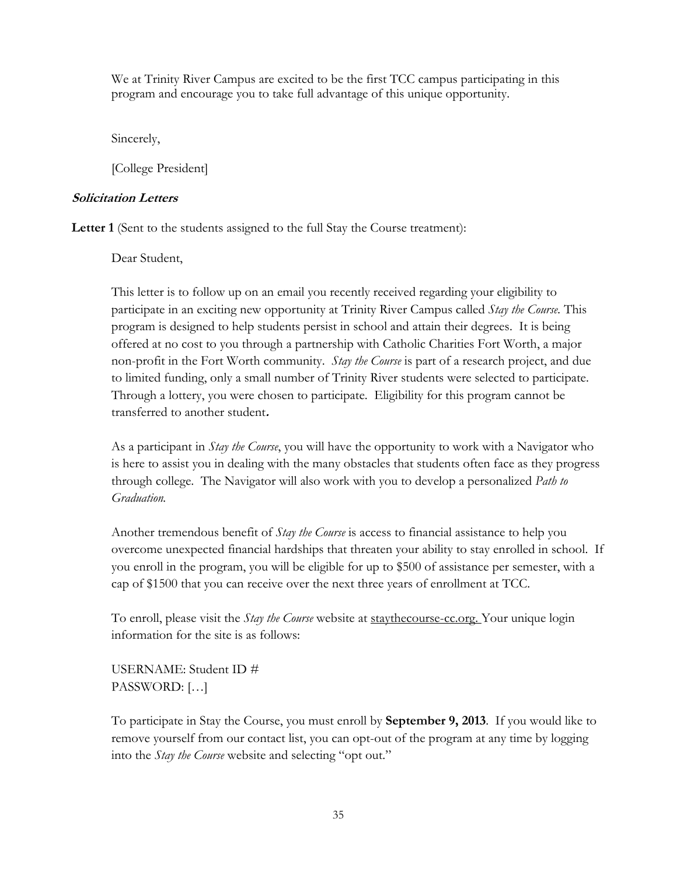We at Trinity River Campus are excited to be the first TCC campus participating in this program and encourage you to take full advantage of this unique opportunity.

Sincerely,

[College President]

# **Solicitation Letters**

Letter 1 (Sent to the students assigned to the full Stay the Course treatment):

Dear Student,

This letter is to follow up on an email you recently received regarding your eligibility to participate in an exciting new opportunity at Trinity River Campus called *Stay the Course.* This program is designed to help students persist in school and attain their degrees. It is being offered at no cost to you through a partnership with Catholic Charities Fort Worth, a major non-profit in the Fort Worth community. *Stay the Course* is part of a research project, and due to limited funding, only a small number of Trinity River students were selected to participate. Through a lottery, you were chosen to participate. Eligibility for this program cannot be transferred to another student**.** 

As a participant in *Stay the Course*, you will have the opportunity to work with a Navigator who is here to assist you in dealing with the many obstacles that students often face as they progress through college. The Navigator will also work with you to develop a personalized *Path to Graduation.*

Another tremendous benefit of *Stay the Course* is access to financial assistance to help you overcome unexpected financial hardships that threaten your ability to stay enrolled in school. If you enroll in the program, you will be eligible for up to \$500 of assistance per semester, with a cap of \$1500 that you can receive over the next three years of enrollment at TCC.

To enroll, please visit the *Stay the Course* website at staythecourse-cc.org. Your unique login information for the site is as follows:

USERNAME: Student ID # PASSWORD: […]

To participate in Stay the Course, you must enroll by **September 9, 2013**. If you would like to remove yourself from our contact list, you can opt-out of the program at any time by logging into the *Stay the Course* website and selecting "opt out."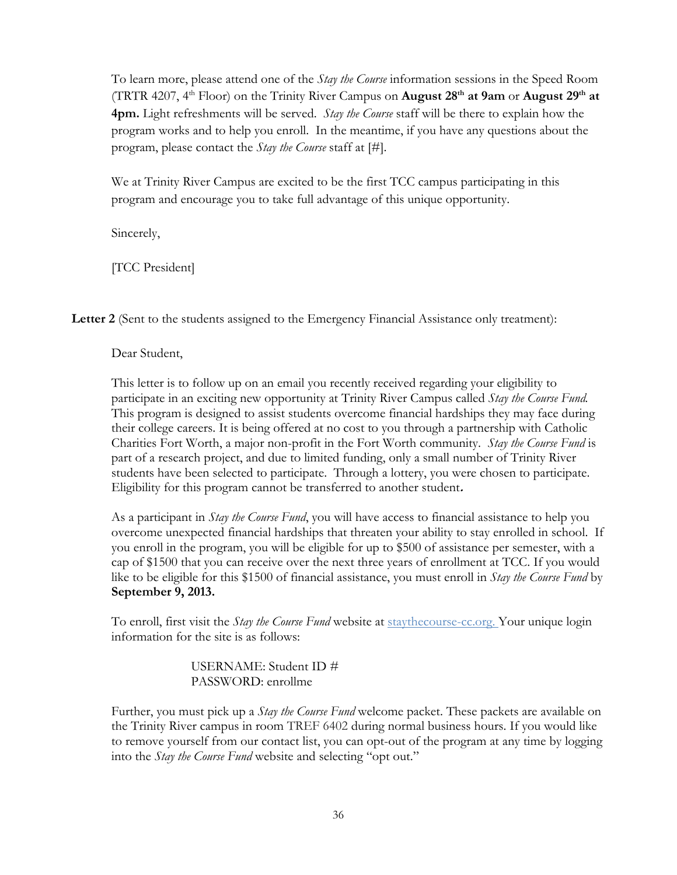To learn more, please attend one of the *Stay the Course* information sessions in the Speed Room (TRTR 4207, 4th Floor) on the Trinity River Campus on **August 28th at 9am** or **August 29th at 4pm.** Light refreshments will be served. *Stay the Course* staff will be there to explain how the program works and to help you enroll. In the meantime, if you have any questions about the program, please contact the *Stay the Course* staff at [#].

We at Trinity River Campus are excited to be the first TCC campus participating in this program and encourage you to take full advantage of this unique opportunity.

Sincerely,

[TCC President]

**Letter 2** (Sent to the students assigned to the Emergency Financial Assistance only treatment):

Dear Student,

This letter is to follow up on an email you recently received regarding your eligibility to participate in an exciting new opportunity at Trinity River Campus called *Stay the Course Fund.*  This program is designed to assist students overcome financial hardships they may face during their college careers. It is being offered at no cost to you through a partnership with Catholic Charities Fort Worth, a major non-profit in the Fort Worth community. *Stay the Course Fund* is part of a research project, and due to limited funding, only a small number of Trinity River students have been selected to participate. Through a lottery, you were chosen to participate. Eligibility for this program cannot be transferred to another student**.**

As a participant in *Stay the Course Fund*, you will have access to financial assistance to help you overcome unexpected financial hardships that threaten your ability to stay enrolled in school. If you enroll in the program, you will be eligible for up to \$500 of assistance per semester, with a cap of \$1500 that you can receive over the next three years of enrollment at TCC. If you would like to be eligible for this \$1500 of financial assistance, you must enroll in *Stay the Course Fund* by **September 9, 2013.**

To enroll, first visit the *Stay the Course Fund* website at staythecourse-cc.org. Your unique login information for the site is as follows:

> USERNAME: Student ID # PASSWORD: enrollme

Further, you must pick up a *Stay the Course Fund* welcome packet. These packets are available on the Trinity River campus in room TREF 6402 during normal business hours. If you would like to remove yourself from our contact list, you can opt-out of the program at any time by logging into the *Stay the Course Fund* website and selecting "opt out."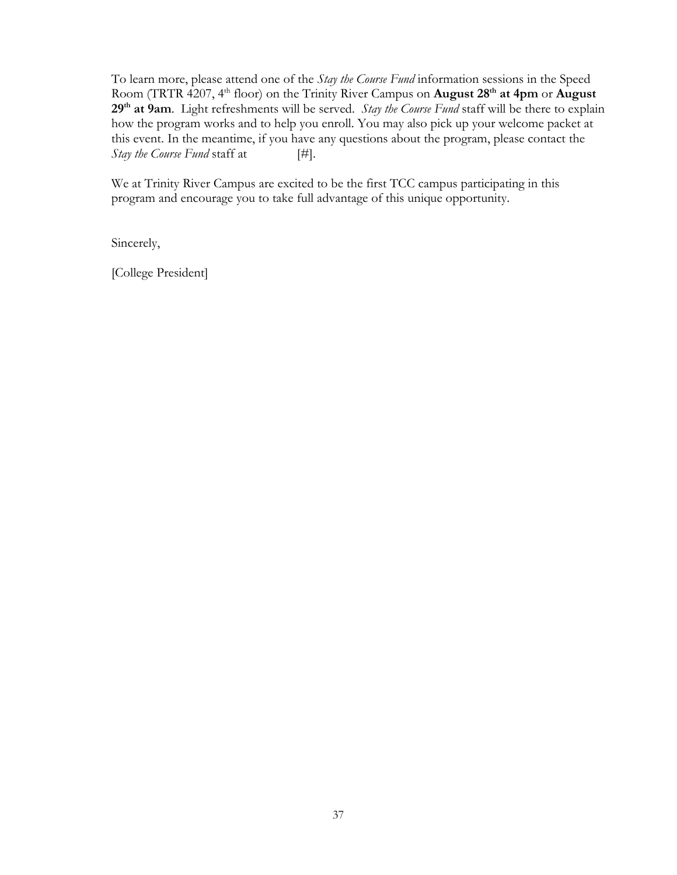To learn more, please attend one of the *Stay the Course Fund* information sessions in the Speed Room (TRTR 4207, 4<sup>th</sup> floor) on the Trinity River Campus on **August 28<sup>th</sup> at 4pm** or **August 29th at 9am**. Light refreshments will be served. *Stay the Course Fund* staff will be there to explain how the program works and to help you enroll. You may also pick up your welcome packet at this event. In the meantime, if you have any questions about the program, please contact the *Stay the Course Fund* staff at [#].

We at Trinity River Campus are excited to be the first TCC campus participating in this program and encourage you to take full advantage of this unique opportunity.

Sincerely,

[College President]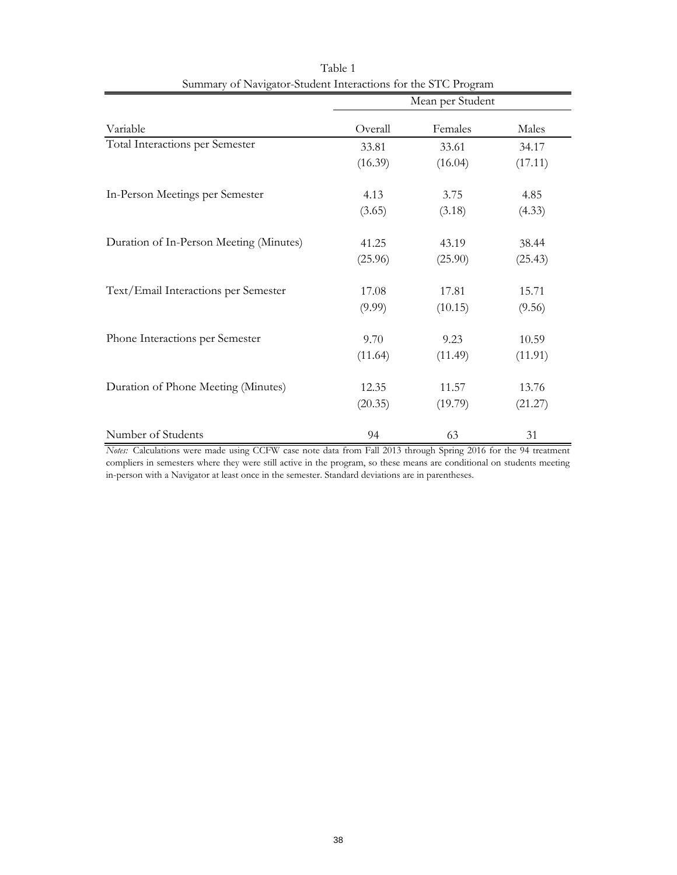|                                         | Mean per Student |         |         |  |  |  |
|-----------------------------------------|------------------|---------|---------|--|--|--|
| Variable                                | Overall          | Females | Males   |  |  |  |
| Total Interactions per Semester         | 33.81            | 33.61   | 34.17   |  |  |  |
|                                         | (16.39)          | (16.04) | (17.11) |  |  |  |
| In-Person Meetings per Semester         | 4.13             | 3.75    | 4.85    |  |  |  |
|                                         | (3.65)           | (3.18)  | (4.33)  |  |  |  |
| Duration of In-Person Meeting (Minutes) | 41.25            | 43.19   | 38.44   |  |  |  |
|                                         | (25.96)          | (25.90) | (25.43) |  |  |  |
| Text/Email Interactions per Semester    | 17.08            | 17.81   | 15.71   |  |  |  |
|                                         | (9.99)           | (10.15) | (9.56)  |  |  |  |
| Phone Interactions per Semester         | 9.70             | 9.23    | 10.59   |  |  |  |
|                                         | (11.64)          | (11.49) | (11.91) |  |  |  |
| Duration of Phone Meeting (Minutes)     | 12.35            | 11.57   | 13.76   |  |  |  |
|                                         | (20.35)          | (19.79) | (21.27) |  |  |  |
| Number of Students                      | 94               | 63      | 31      |  |  |  |

Table 1 Summary of Navigator-Student Interactions for the STC Program

*Notes:* Calculations were made using CCFW case note data from Fall 2013 through Spring 2016 for the 94 treatment compliers in semesters where they were still active in the program, so these means are conditional on students meeting in-person with a Navigator at least once in the semester. Standard deviations are in parentheses.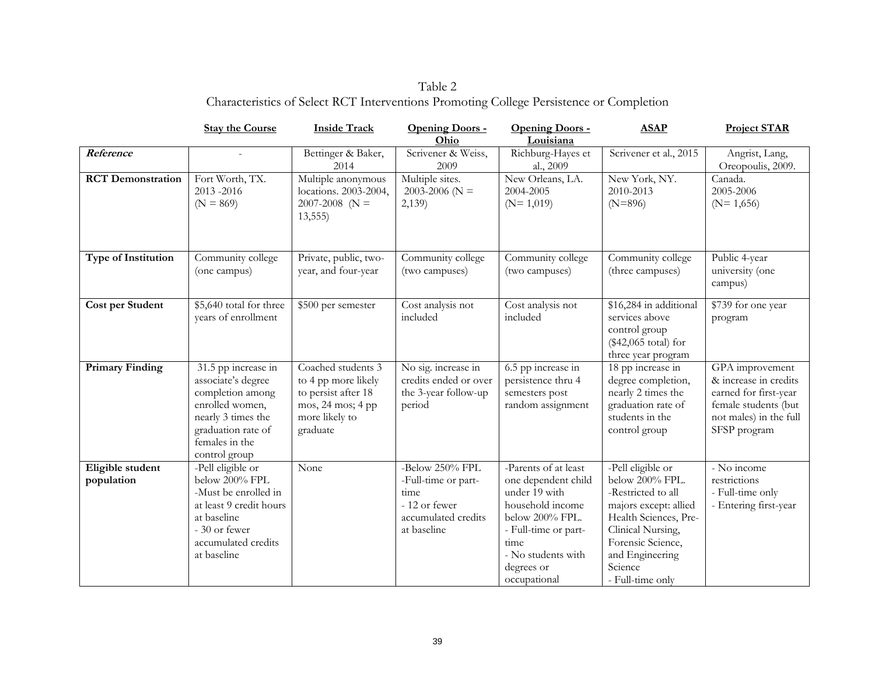Table 2 Characteristics of Select RCT Interventions Promoting College Persistence or Completion

|                                | <b>Stay the Course</b>                                                                                                                                          | <b>Inside Track</b>                                                                                                 | Opening Doors -<br>Ohio                                                                               | Opening Doors -<br>Louisiana                                                                                                                                                            | <b>ASAP</b>                                                                                                                                                                                              | <b>Project STAR</b>                                                                                                                 |
|--------------------------------|-----------------------------------------------------------------------------------------------------------------------------------------------------------------|---------------------------------------------------------------------------------------------------------------------|-------------------------------------------------------------------------------------------------------|-----------------------------------------------------------------------------------------------------------------------------------------------------------------------------------------|----------------------------------------------------------------------------------------------------------------------------------------------------------------------------------------------------------|-------------------------------------------------------------------------------------------------------------------------------------|
| Reference                      | $\sim$                                                                                                                                                          | Bettinger & Baker,<br>2014                                                                                          | Scrivener & Weiss,<br>2009                                                                            | Richburg-Hayes et<br>al., 2009                                                                                                                                                          | Scrivener et al., 2015                                                                                                                                                                                   | Angrist, Lang,<br>Oreopoulis, 2009.                                                                                                 |
| <b>RCT</b> Demonstration       | Fort Worth, TX.<br>2013-2016<br>$(N = 869)$                                                                                                                     | Multiple anonymous<br>locations. 2003-2004,<br>$2007 - 2008$ (N =<br>13,555                                         | Multiple sites.<br>2003-2006 ( $N =$<br>2,139                                                         | New Orleans, LA.<br>2004-2005<br>$(N=1,019)$                                                                                                                                            | New York, NY.<br>2010-2013<br>$(N=896)$                                                                                                                                                                  | Canada.<br>2005-2006<br>$(N=1,656)$                                                                                                 |
| <b>Type of Institution</b>     | Community college<br>(one campus)                                                                                                                               | Private, public, two-<br>year, and four-year                                                                        | Community college<br>(two campuses)                                                                   | Community college<br>(two campuses)                                                                                                                                                     | Community college<br>(three campuses)                                                                                                                                                                    | Public 4-year<br>university (one<br>campus)                                                                                         |
| Cost per Student               | \$5,640 total for three<br>years of enrollment                                                                                                                  | \$500 per semester                                                                                                  | Cost analysis not<br>included                                                                         | Cost analysis not<br>included                                                                                                                                                           | \$16,284 in additional<br>services above<br>control group<br>(\$42,065 total) for<br>three year program                                                                                                  | \$739 for one year<br>program                                                                                                       |
| <b>Primary Finding</b>         | 31.5 pp increase in<br>associate's degree<br>completion among<br>enrolled women,<br>nearly 3 times the<br>graduation rate of<br>females in the<br>control group | Coached students 3<br>to 4 pp more likely<br>to persist after 18<br>mos, 24 mos; 4 pp<br>more likely to<br>graduate | No sig. increase in<br>credits ended or over<br>the 3-year follow-up<br>period                        | 6.5 pp increase in<br>persistence thru 4<br>semesters post<br>random assignment                                                                                                         | 18 pp increase in<br>degree completion,<br>nearly 2 times the<br>graduation rate of<br>students in the<br>control group                                                                                  | GPA improvement<br>& increase in credits<br>earned for first-year<br>female students (but<br>not males) in the full<br>SFSP program |
| Eligible student<br>population | -Pell eligible or<br>below 200% FPL<br>-Must be enrolled in<br>at least 9 credit hours<br>at baseline<br>- 30 or fewer<br>accumulated credits<br>at baseline    | None                                                                                                                | -Below 250% FPL<br>-Full-time or part-<br>time<br>- 12 or fewer<br>accumulated credits<br>at baseline | -Parents of at least<br>one dependent child<br>under 19 with<br>household income<br>below 200% FPL.<br>- Full-time or part-<br>time<br>- No students with<br>degrees or<br>occupational | -Pell eligible or<br>below 200% FPL.<br>-Restricted to all<br>majors except: allied<br>Health Sciences, Pre-<br>Clinical Nursing,<br>Forensic Science,<br>and Engineering<br>Science<br>- Full-time only | - No income<br>restrictions<br>- Full-time only<br>- Entering first-year                                                            |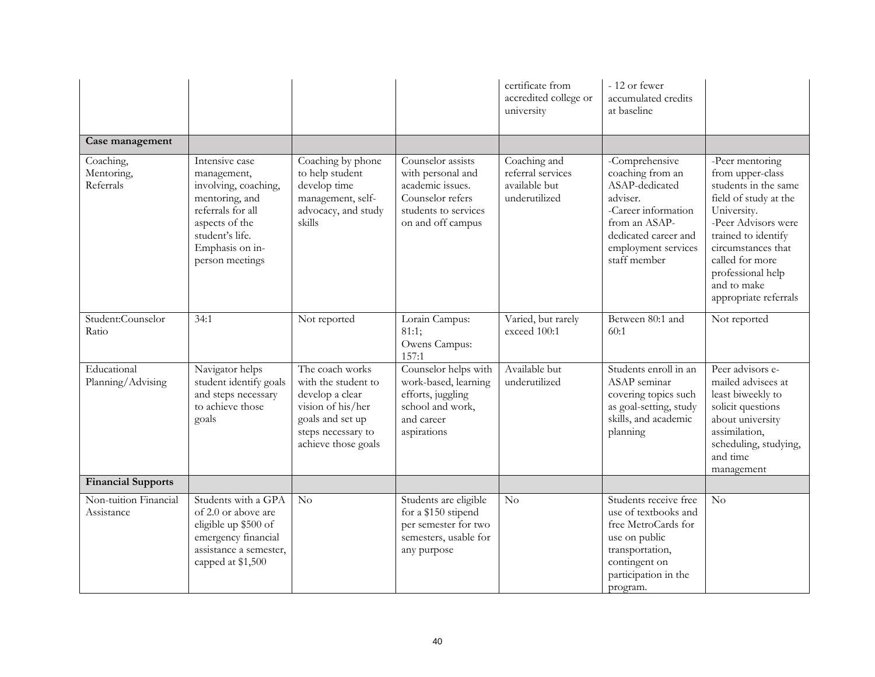|                                      |                                                                                                                                                                         |                                                                                                                                                 |                                                                                                                             | certificate from<br>accredited college or<br>university             | - 12 or fewer<br>accumulated credits<br>at baseline                                                                                                                     |                                                                                                                                                                                                                                                         |
|--------------------------------------|-------------------------------------------------------------------------------------------------------------------------------------------------------------------------|-------------------------------------------------------------------------------------------------------------------------------------------------|-----------------------------------------------------------------------------------------------------------------------------|---------------------------------------------------------------------|-------------------------------------------------------------------------------------------------------------------------------------------------------------------------|---------------------------------------------------------------------------------------------------------------------------------------------------------------------------------------------------------------------------------------------------------|
| Case management                      |                                                                                                                                                                         |                                                                                                                                                 |                                                                                                                             |                                                                     |                                                                                                                                                                         |                                                                                                                                                                                                                                                         |
| Coaching,<br>Mentoring,<br>Referrals | Intensive case<br>management,<br>involving, coaching,<br>mentoring, and<br>referrals for all<br>aspects of the<br>student's life.<br>Emphasis on in-<br>person meetings | Coaching by phone<br>to help student<br>develop time<br>management, self-<br>advocacy, and study<br>skills                                      | Counselor assists<br>with personal and<br>academic issues.<br>Counselor refers<br>students to services<br>on and off campus | Coaching and<br>referral services<br>available but<br>underutilized | -Comprehensive<br>coaching from an<br>ASAP-dedicated<br>adviser.<br>-Career information<br>from an ASAP-<br>dedicated career and<br>employment services<br>staff member | -Peer mentoring<br>from upper-class<br>students in the same<br>field of study at the<br>University.<br>-Peer Advisors were<br>trained to identify<br>circumstances that<br>called for more<br>professional help<br>and to make<br>appropriate referrals |
| Student:Counselor<br>Ratio           | 34:1                                                                                                                                                                    | Not reported                                                                                                                                    | Lorain Campus:<br>81:1;<br>Owens Campus:<br>157:1                                                                           | Varied, but rarely<br>exceed 100:1                                  | Between 80:1 and<br>60:1                                                                                                                                                | Not reported                                                                                                                                                                                                                                            |
| Educational<br>Planning/Advising     | Navigator helps<br>student identify goals<br>and steps necessary<br>to achieve those<br>goals                                                                           | The coach works<br>with the student to<br>develop a clear<br>vision of his/her<br>goals and set up<br>steps necessary to<br>achieve those goals | Counselor helps with<br>work-based, learning<br>efforts, juggling<br>school and work,<br>and career<br>aspirations          | Available but<br>underutilized                                      | Students enroll in an<br>ASAP seminar<br>covering topics such<br>as goal-setting, study<br>skills, and academic<br>planning                                             | Peer advisors e-<br>mailed advisees at<br>least biweekly to<br>solicit questions<br>about university<br>assimilation,<br>scheduling, studying,<br>and time<br>management                                                                                |
| <b>Financial Supports</b>            |                                                                                                                                                                         |                                                                                                                                                 |                                                                                                                             |                                                                     |                                                                                                                                                                         |                                                                                                                                                                                                                                                         |
| Non-tuition Financial<br>Assistance  | Students with a GPA<br>of 2.0 or above are<br>eligible up \$500 of<br>emergency financial<br>assistance a semester,<br>capped at \$1,500                                | No                                                                                                                                              | Students are eligible<br>for a \$150 stipend<br>per semester for two<br>semesters, usable for<br>any purpose                | No                                                                  | Students receive free<br>use of textbooks and<br>free MetroCards for<br>use on public<br>transportation,<br>contingent on<br>participation in the<br>program.           | No                                                                                                                                                                                                                                                      |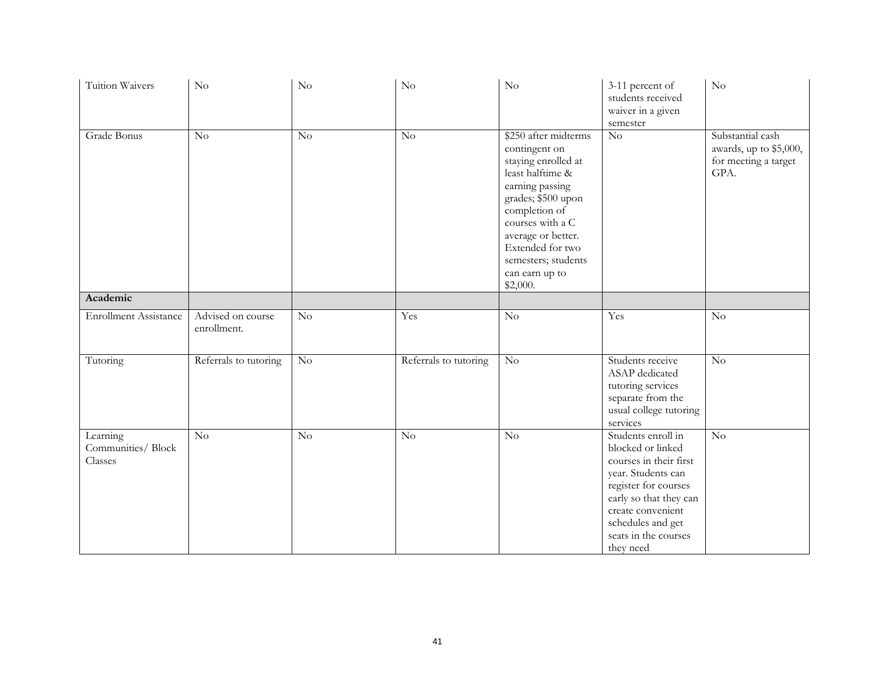| Tuition Waivers                          | $\rm No$                         | No              | $\rm No$              | $\rm No$                                                                                                                                                                                                                                                      | 3-11 percent of<br>students received<br>waiver in a given<br>semester                                                                                                                                                    | $\rm No$                                                                   |
|------------------------------------------|----------------------------------|-----------------|-----------------------|---------------------------------------------------------------------------------------------------------------------------------------------------------------------------------------------------------------------------------------------------------------|--------------------------------------------------------------------------------------------------------------------------------------------------------------------------------------------------------------------------|----------------------------------------------------------------------------|
| Grade Bonus                              | $\overline{No}$                  | $\overline{No}$ | $\overline{No}$       | \$250 after midterms<br>contingent on<br>staying enrolled at<br>least halftime &<br>earning passing<br>grades; \$500 upon<br>completion of<br>courses with a C<br>average or better.<br>Extended for two<br>semesters; students<br>can earn up to<br>\$2,000. | $\overline{\text{No}}$                                                                                                                                                                                                   | Substantial cash<br>awards, up to \$5,000,<br>for meeting a target<br>GPA. |
| Academic                                 |                                  |                 |                       |                                                                                                                                                                                                                                                               |                                                                                                                                                                                                                          |                                                                            |
| <b>Enrollment Assistance</b>             | Advised on course<br>enrollment. | No              | Yes                   | $\rm No$                                                                                                                                                                                                                                                      | Yes                                                                                                                                                                                                                      | No                                                                         |
| Tutoring                                 | Referrals to tutoring            | $\rm No$        | Referrals to tutoring | $\rm No$                                                                                                                                                                                                                                                      | Students receive<br>ASAP dedicated<br>tutoring services<br>separate from the<br>usual college tutoring<br>services                                                                                                       | $\rm No$                                                                   |
| Learning<br>Communities/Block<br>Classes | No                               | No              | No                    | No                                                                                                                                                                                                                                                            | Students enroll in<br>blocked or linked<br>courses in their first<br>year. Students can<br>register for courses<br>early so that they can<br>create convenient<br>schedules and get<br>seats in the courses<br>they need | No                                                                         |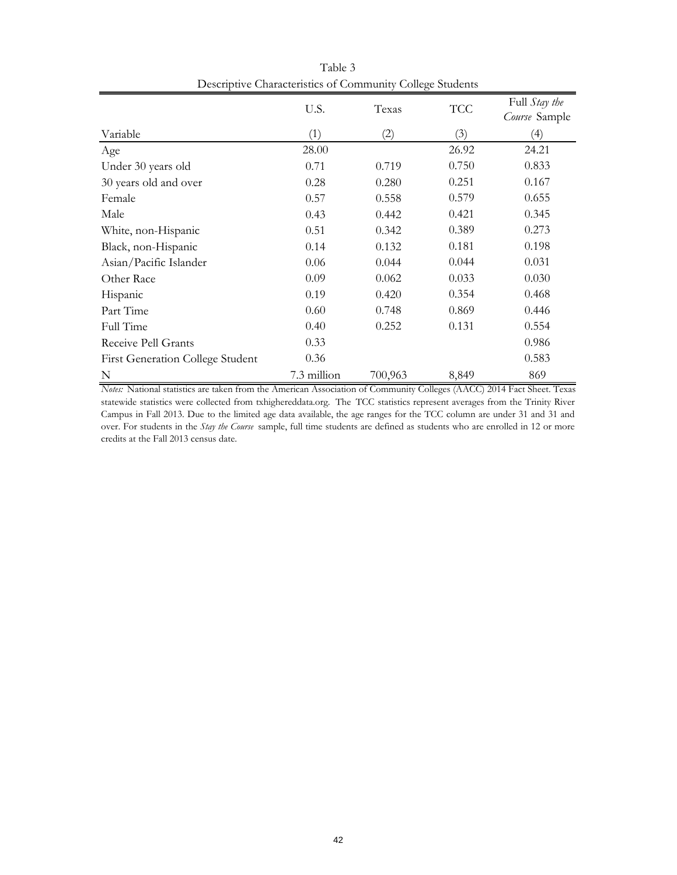|                                         | U.S.        | Texas   | <b>TCC</b> | Full Stay the |
|-----------------------------------------|-------------|---------|------------|---------------|
|                                         |             |         |            | Course Sample |
| Variable                                | (1)         | (2)     | (3)        | (4)           |
| Age                                     | 28.00       |         | 26.92      | 24.21         |
| Under 30 years old                      | 0.71        | 0.719   | 0.750      | 0.833         |
| 30 years old and over                   | 0.28        | 0.280   | 0.251      | 0.167         |
| Female                                  | 0.57        | 0.558   | 0.579      | 0.655         |
| Male                                    | 0.43        | 0.442   | 0.421      | 0.345         |
| White, non-Hispanic                     | 0.51        | 0.342   | 0.389      | 0.273         |
| Black, non-Hispanic                     | 0.14        | 0.132   | 0.181      | 0.198         |
| Asian/Pacific Islander                  | 0.06        | 0.044   | 0.044      | 0.031         |
| Other Race                              | 0.09        | 0.062   | 0.033      | 0.030         |
| Hispanic                                | 0.19        | 0.420   | 0.354      | 0.468         |
| Part Time                               | 0.60        | 0.748   | 0.869      | 0.446         |
| Full Time                               | 0.40        | 0.252   | 0.131      | 0.554         |
| Receive Pell Grants                     | 0.33        |         |            | 0.986         |
| <b>First Generation College Student</b> | 0.36        |         |            | 0.583         |
| N                                       | 7.3 million | 700,963 | 8,849      | 869           |

Table 3 Descriptive Characteristics of Community College Students

*Notes:* National statistics are taken from the American Association of Community Colleges (AACC) 2014 Fact Sheet. Texas statewide statistics were collected from txhighereddata.org. The TCC statistics represent averages from the Trinity River Campus in Fall 2013. Due to the limited age data available, the age ranges for the TCC column are under 31 and 31 and over. For students in the *Stay the Course* sample, full time students are defined as students who are enrolled in 12 or more credits at the Fall 2013 census date.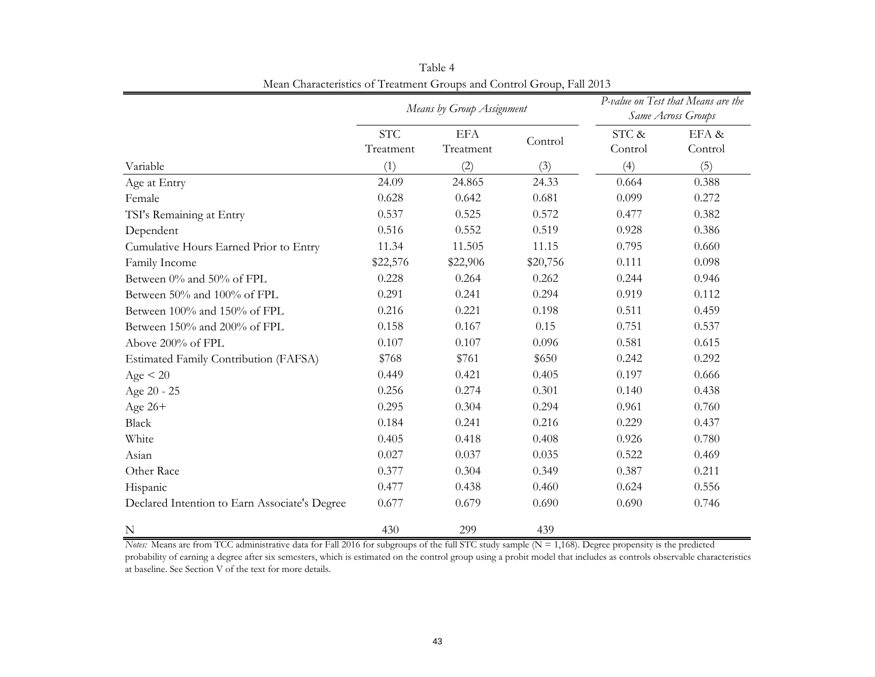|                                               | Means by Group Assignment |                         |          | P-value on Test that Means are the<br>Same Across Groups |                  |  |
|-----------------------------------------------|---------------------------|-------------------------|----------|----------------------------------------------------------|------------------|--|
|                                               | <b>STC</b><br>Treatment   | <b>EFA</b><br>Treatment | Control  | STC &<br>Control                                         | EFA &<br>Control |  |
| Variable                                      | (1)                       | (2)                     | (3)      | (4)                                                      | (5)              |  |
| Age at Entry                                  | 24.09                     | 24.865                  | 24.33    | 0.664                                                    | 0.388            |  |
| Female                                        | 0.628                     | 0.642                   | 0.681    | 0.099                                                    | 0.272            |  |
| TSI's Remaining at Entry                      | 0.537                     | 0.525                   | 0.572    | 0.477                                                    | 0.382            |  |
| Dependent                                     | 0.516                     | 0.552                   | 0.519    | 0.928                                                    | 0.386            |  |
| Cumulative Hours Earned Prior to Entry        | 11.34                     | 11.505                  | 11.15    | 0.795                                                    | 0.660            |  |
| Family Income                                 | \$22,576                  | \$22,906                | \$20,756 | 0.111                                                    | 0.098            |  |
| Between 0% and 50% of FPL                     | 0.228                     | 0.264                   | 0.262    | 0.244                                                    | 0.946            |  |
| Between 50% and 100% of FPL                   | 0.291                     | 0.241                   | 0.294    | 0.919                                                    | 0.112            |  |
| Between 100% and 150% of FPL                  | 0.216                     | 0.221                   | 0.198    | 0.511                                                    | 0.459            |  |
| Between 150% and 200% of FPL                  | 0.158                     | 0.167                   | 0.15     | 0.751                                                    | 0.537            |  |
| Above 200% of FPL                             | 0.107                     | 0.107                   | 0.096    | 0.581                                                    | 0.615            |  |
| Estimated Family Contribution (FAFSA)         | \$768                     | \$761                   | \$650    | 0.242                                                    | 0.292            |  |
| Age < 20                                      | 0.449                     | 0.421                   | 0.405    | 0.197                                                    | 0.666            |  |
| Age 20 - 25                                   | 0.256                     | 0.274                   | 0.301    | 0.140                                                    | 0.438            |  |
| Age 26+                                       | 0.295                     | 0.304                   | 0.294    | 0.961                                                    | 0.760            |  |
| Black                                         | 0.184                     | 0.241                   | 0.216    | 0.229                                                    | 0.437            |  |
| White                                         | 0.405                     | 0.418                   | 0.408    | 0.926                                                    | 0.780            |  |
| Asian                                         | 0.027                     | 0.037                   | 0.035    | 0.522                                                    | 0.469            |  |
| Other Race                                    | 0.377                     | 0.304                   | 0.349    | 0.387                                                    | 0.211            |  |
| Hispanic                                      | 0.477                     | 0.438                   | 0.460    | 0.624                                                    | 0.556            |  |
| Declared Intention to Earn Associate's Degree | 0.677                     | 0.679                   | 0.690    | 0.690                                                    | 0.746            |  |
| N                                             | 430                       | 299                     | 439      |                                                          |                  |  |

Table 4 Mean Characteristics of Treatment Groups and Control Group, Fall 2013

*Notes:* Means are from TCC administrative data for Fall 2016 for subgroups of the full STC study sample (N = 1,168). Degree propensity is the predicted probability of earning a degree after six semesters, which is estimated on the control group using a probit model that includes as controls observable characteristics at baseline. See Section V of the text for more details.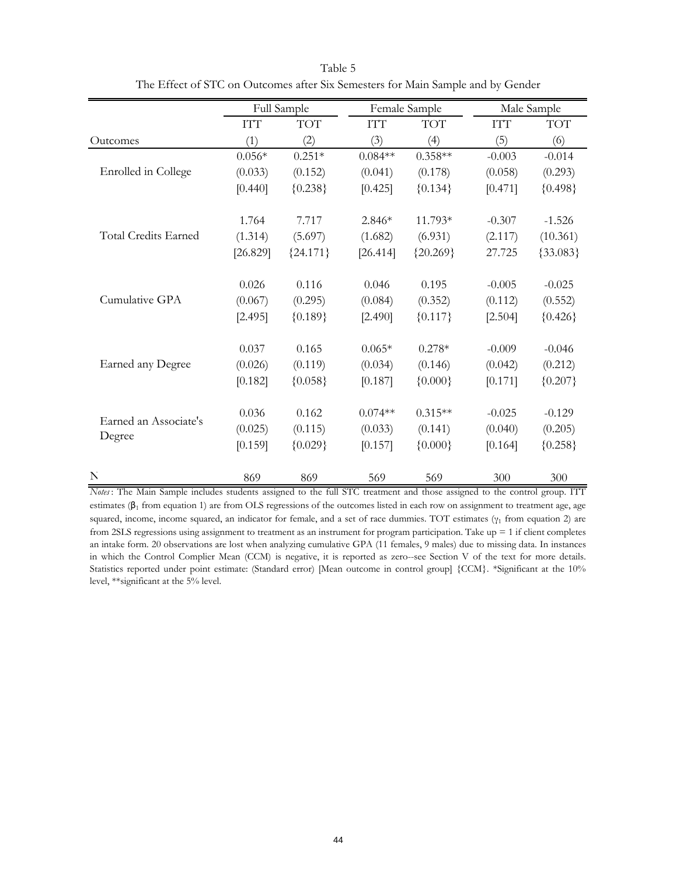|                       |            | Full Sample |           | Female Sample |            | Male Sample |
|-----------------------|------------|-------------|-----------|---------------|------------|-------------|
|                       | <b>ITT</b> | <b>TOT</b>  | IТT       | <b>TOT</b>    | <b>ITT</b> | <b>TOT</b>  |
| Outcomes              | (1)        | (2)         | (3)       | (4)           | (5)        | (6)         |
|                       | $0.056*$   | $0.251*$    | $0.084**$ | $0.358**$     | $-0.003$   | $-0.014$    |
| Enrolled in College   | (0.033)    | (0.152)     | (0.041)   | (0.178)       | (0.058)    | (0.293)     |
|                       | [0.440]    | ${0.238}$   | [0.425]   | ${0.134}$     | [0.471]    | ${0.498}$   |
|                       | 1.764      | 7.717       | 2.846*    | 11.793*       | $-0.307$   | $-1.526$    |
| Total Credits Earned  | (1.314)    | (5.697)     | (1.682)   | (6.931)       | (2.117)    | (10.361)    |
|                       | [26.829]   | ${24.171}$  | [26.414]  | ${20.269}$    | 27.725     | ${33.083}$  |
|                       | 0.026      | 0.116       | 0.046     | 0.195         | $-0.005$   | $-0.025$    |
| Cumulative GPA        | (0.067)    | (0.295)     | (0.084)   | (0.352)       | (0.112)    | (0.552)     |
|                       | [2.495]    | ${0.189}$   | [2.490]   | ${0.117}$     | [2.504]    | ${0.426}$   |
|                       | 0.037      | 0.165       | $0.065*$  | $0.278*$      | $-0.009$   | $-0.046$    |
| Earned any Degree     | (0.026)    | (0.119)     | (0.034)   | (0.146)       | (0.042)    | (0.212)     |
|                       | [0.182]    | ${0.058}$   | [0.187]   | ${0.000}$     | [0.171]    | ${0.207}$   |
|                       | 0.036      | 0.162       | $0.074**$ | $0.315**$     | $-0.025$   | $-0.129$    |
| Earned an Associate's | (0.025)    | (0.115)     | (0.033)   | (0.141)       | (0.040)    | (0.205)     |
| Degree                | [0.159]    | ${0.029}$   | [0.157]   | ${0.000}$     | [0.164]    | ${0.258}$   |
| N                     | 869        | 869         | 569       | 569           | 300        | 300         |

Table 5 The Effect of STC on Outcomes after Six Semesters for Main Sample and by Gender

*Notes* : The Main Sample includes students assigned to the full STC treatment and those assigned to the control group. ITT estimates ( $\beta_1$  from equation 1) are from OLS regressions of the outcomes listed in each row on assignment to treatment age, age squared, income, income squared, an indicator for female, and a set of race dummies. TOT estimates ( $\gamma_1$  from equation 2) are from 2SLS regressions using assignment to treatment as an instrument for program participation. Take up = 1 if client completes an intake form. 20 observations are lost when analyzing cumulative GPA (11 females, 9 males) due to missing data. In instances in which the Control Complier Mean (CCM) is negative, it is reported as zero--see Section V of the text for more details. Statistics reported under point estimate: (Standard error) [Mean outcome in control group] {CCM}. \*Significant at the 10% level, \*\*significant at the 5% level.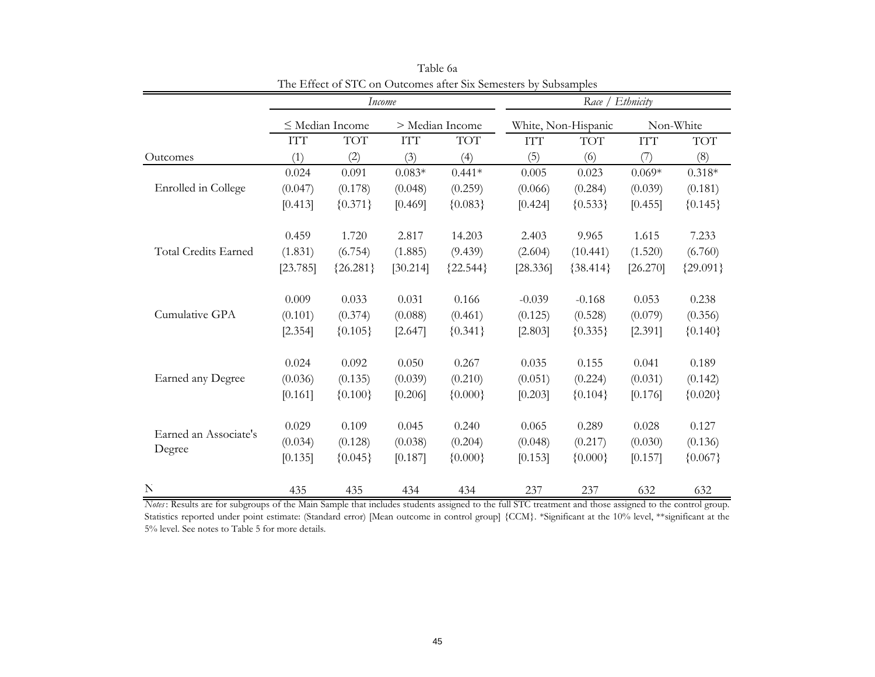|                             |                                  | Income               |            |                 |            | Race / Ethnicity    |            |            |
|-----------------------------|----------------------------------|----------------------|------------|-----------------|------------|---------------------|------------|------------|
|                             |                                  | $\leq$ Median Income |            | > Median Income |            | White, Non-Hispanic |            | Non-White  |
|                             | $\mathbf{I}\mathbf{T}\mathbf{T}$ | <b>TOT</b>           | <b>ITT</b> | <b>TOT</b>      | <b>ITT</b> | <b>TOT</b>          | <b>ITT</b> | <b>TOT</b> |
| Outcomes                    | (1)                              | (2)                  | (3)        | (4)             | (5)        | (6)                 | (7)        | (8)        |
|                             | 0.024                            | 0.091                | $0.083*$   | $0.441*$        | 0.005      | 0.023               | $0.069*$   | $0.318*$   |
| Enrolled in College         | (0.047)                          | (0.178)              | (0.048)    | (0.259)         | (0.066)    | (0.284)             | (0.039)    | (0.181)    |
|                             | [0.413]                          | ${0.371}$            | [0.469]    | ${0.083}$       | [0.424]    | ${0.533}$           | [0.455]    | ${0.145}$  |
|                             | 0.459                            | 1.720                | 2.817      | 14.203          | 2.403      | 9.965               | 1.615      | 7.233      |
| <b>Total Credits Earned</b> | (1.831)                          | (6.754)              | (1.885)    | (9.439)         | (2.604)    | (10.441)            | (1.520)    | (6.760)    |
|                             | [23.785]                         | ${26.281}$           | [30.214]   | ${22.544}$      | [28.336]   | ${38.414}$          | [26.270]   | ${29.091}$ |
|                             | 0.009                            | 0.033                | 0.031      | 0.166           | $-0.039$   | $-0.168$            | 0.053      | 0.238      |
| Cumulative GPA              | (0.101)                          | (0.374)              | (0.088)    | (0.461)         | (0.125)    | (0.528)             | (0.079)    | (0.356)    |
|                             | [2.354]                          | ${0.105}$            | [2.647]    | ${0.341}$       | [2.803]    | ${0.335}$           | [2.391]    | ${0.140}$  |
|                             | 0.024                            | 0.092                | 0.050      | 0.267           | 0.035      | 0.155               | 0.041      | 0.189      |
| Earned any Degree           | (0.036)                          | (0.135)              | (0.039)    | (0.210)         | (0.051)    | (0.224)             | (0.031)    | (0.142)    |
|                             | [0.161]                          | ${0.100}$            | [0.206]    | ${0.000}$       | [0.203]    | ${0.104}$           | [0.176]    | ${0.020}$  |
|                             | 0.029                            | 0.109                | 0.045      | 0.240           | 0.065      | 0.289               | 0.028      | 0.127      |
| Earned an Associate's       | (0.034)                          | (0.128)              | (0.038)    | (0.204)         | (0.048)    | (0.217)             | (0.030)    | (0.136)    |
| Degree                      | [0.135]                          | ${0.045}$            | [0.187]    | ${0.000}$       | [0.153]    | ${0.000}$           | [0.157]    | ${0.067}$  |
| N                           | 435                              | 435                  | 434        | 434             | 237        | 237                 | 632        | 632        |

Table 6a The Effect of STC on Outcomes after Six Semesters by Subsamples

*Notes* : Results are for subgroups of the Main Sample that includes students assigned to the full STC treatment and those assigned to the control group. Statistics reported under point estimate: (Standard error) [Mean outcome in control group] {CCM}. \*Significant at the 10% level, \*\*significant at the 5% level. See notes to Table 5 for more details.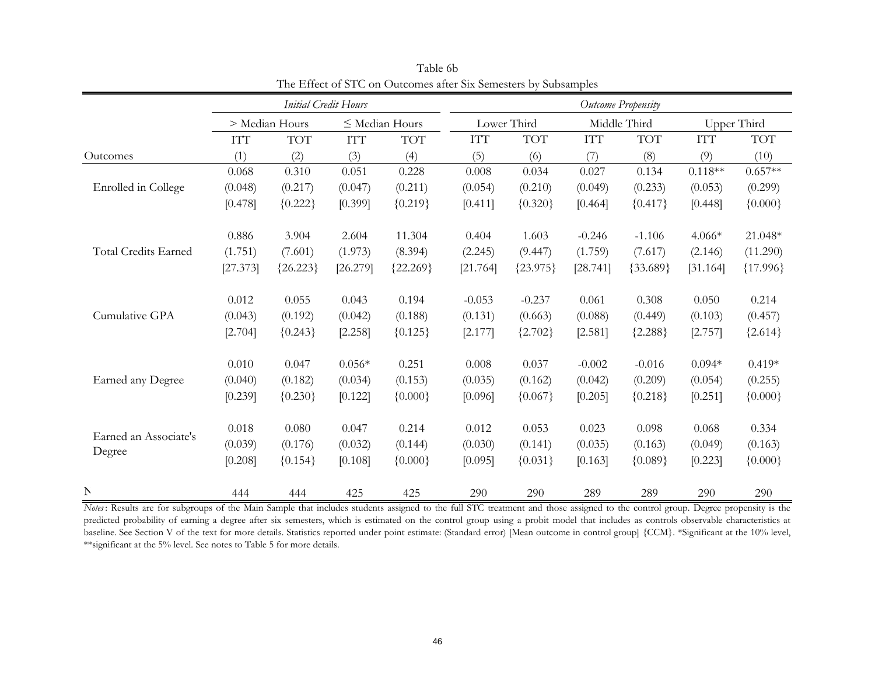|                       |            |                | <b>Initial Credit Hours</b> |                     |            |             |              | Outcome Propensity |            |             |
|-----------------------|------------|----------------|-----------------------------|---------------------|------------|-------------|--------------|--------------------|------------|-------------|
|                       |            | > Median Hours |                             | $\leq$ Median Hours |            | Lower Third | Middle Third |                    |            | Upper Third |
|                       | <b>ITT</b> | <b>TOT</b>     | <b>ITT</b>                  | <b>TOT</b>          | <b>ITT</b> | <b>TOT</b>  | <b>ITT</b>   | <b>TOT</b>         | <b>ITT</b> | <b>TOT</b>  |
| Outcomes              | (1)        | (2)            | (3)                         | (4)                 | (5)        | (6)         | (7)          | (8)                | (9)        | (10)        |
|                       | 0.068      | 0.310          | 0.051                       | 0.228               | 0.008      | 0.034       | 0.027        | 0.134              | $0.118**$  | $0.657**$   |
| Enrolled in College   | (0.048)    | (0.217)        | (0.047)                     | (0.211)             | (0.054)    | (0.210)     | (0.049)      | (0.233)            | (0.053)    | (0.299)     |
|                       | [0.478]    | ${0.222}$      | [0.399]                     | ${0.219}$           | [0.411]    | ${0.320}$   | [0.464]      | ${0.417}$          | [0.448]    | ${0.000}$   |
|                       | 0.886      | 3.904          | 2.604                       | 11.304              | 0.404      | 1.603       | $-0.246$     | $-1.106$           | 4.066*     | 21.048*     |
| Total Credits Earned  | (1.751)    | (7.601)        | (1.973)                     | (8.394)             | (2.245)    | (9.447)     | (1.759)      | (7.617)            | (2.146)    | (11.290)    |
|                       | [27.373]   | ${26.223}$     | [26.279]                    | ${22.269}$          | [21.764]   | ${23.975}$  | [28.741]     | ${33.689}$         | [31.164]   | ${17.996}$  |
|                       | 0.012      | 0.055          | 0.043                       | 0.194               | $-0.053$   | $-0.237$    | 0.061        | 0.308              | 0.050      | 0.214       |
| Cumulative GPA        | (0.043)    | (0.192)        | (0.042)                     | (0.188)             | (0.131)    | (0.663)     | (0.088)      | (0.449)            | (0.103)    | (0.457)     |
|                       | [2.704]    | ${0.243}$      | [2.258]                     | ${0.125}$           | [2.177]    | ${2.702}$   | [2.581]      | ${2.288}$          | [2.757]    | ${2.614}$   |
|                       | 0.010      | 0.047          | $0.056*$                    | 0.251               | 0.008      | 0.037       | $-0.002$     | $-0.016$           | $0.094*$   | $0.419*$    |
| Earned any Degree     | (0.040)    | (0.182)        | (0.034)                     | (0.153)             | (0.035)    | (0.162)     | (0.042)      | (0.209)            | (0.054)    | (0.255)     |
|                       | [0.239]    | ${0.230}$      | [0.122]                     | ${0.000}$           | [0.096]    | ${0.067}$   | [0.205]      | ${0.218}$          | [0.251]    | ${0.000}$   |
|                       | 0.018      | 0.080          | 0.047                       | 0.214               | 0.012      | 0.053       | 0.023        | 0.098              | 0.068      | 0.334       |
| Earned an Associate's | (0.039)    | (0.176)        | (0.032)                     | (0.144)             | (0.030)    | (0.141)     | (0.035)      | (0.163)            | (0.049)    | (0.163)     |
| Degree                | [0.208]    | ${0.154}$      | [0.108]                     | ${0.000}$           | [0.095]    | ${0.031}$   | [0.163]      | ${0.089}$          | [0.223]    | ${0.000}$   |
| $\mathbb N$           | 444        | 444            | 425                         | 425                 | 290        | 290         | 289          | 289                | 290        | 290         |

Table 6bThe Effect of STC on Outcomes after Six Semesters by Subsamples

*Notes* : Results are for subgroups of the Main Sample that includes students assigned to the full STC treatment and those assigned to the control group. Degree propensity is the predicted probability of earning <sup>a</sup> degree after six semesters, which is estimated on the control group using <sup>a</sup> probit model that includes as controls observable characteristics at baseline. See Section V of the text for more details. Statistics reported under point estimate: (Standard error) [Mean outcome in control group] {CCM}. \*Significant at the 10% level, \*\*significant at the 5% level. See notes to Table 5 for more details.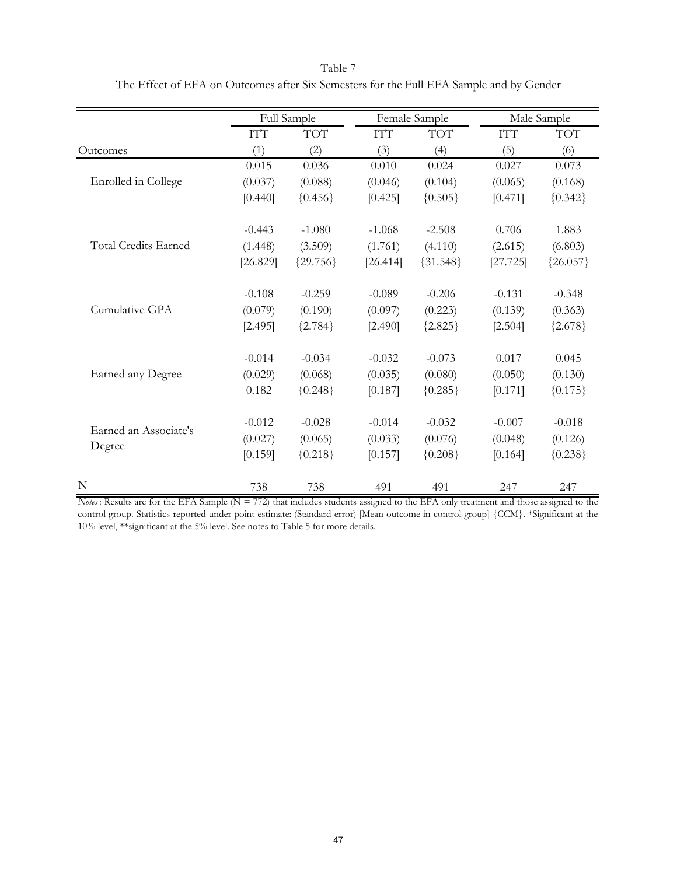|                             |            | Full Sample |            | Female Sample |            | Male Sample |
|-----------------------------|------------|-------------|------------|---------------|------------|-------------|
|                             | <b>ITT</b> | <b>TOT</b>  | <b>ITT</b> | <b>TOT</b>    | <b>ITT</b> | <b>TOT</b>  |
| Outcomes                    | (1)        | (2)         | (3)        | (4)           | (5)        | (6)         |
|                             | 0.015      | 0.036       | 0.010      | 0.024         | 0.027      | 0.073       |
| Enrolled in College         | (0.037)    | (0.088)     | (0.046)    | (0.104)       | (0.065)    | (0.168)     |
|                             | [0.440]    | ${0.456}$   | [0.425]    | ${0.505}$     | [0.471]    | ${0.342}$   |
|                             | $-0.443$   | $-1.080$    | $-1.068$   | $-2.508$      | 0.706      | 1.883       |
| <b>Total Credits Earned</b> | (1.448)    | (3.509)     | (1.761)    | (4.110)       | (2.615)    | (6.803)     |
|                             | [26.829]   | ${29.756}$  | [26.414]   | ${31.548}$    | [27.725]   | ${26.057}$  |
|                             | $-0.108$   | $-0.259$    | $-0.089$   | $-0.206$      | $-0.131$   | $-0.348$    |
| Cumulative GPA              | (0.079)    | (0.190)     | (0.097)    | (0.223)       | (0.139)    | (0.363)     |
|                             | [2.495]    | ${2.784}$   | [2.490]    | ${2.825}$     | [2.504]    | ${2.678}$   |
|                             | $-0.014$   | $-0.034$    | $-0.032$   | $-0.073$      | 0.017      | 0.045       |
| Earned any Degree           | (0.029)    | (0.068)     | (0.035)    | (0.080)       | (0.050)    | (0.130)     |
|                             | 0.182      | ${0.248}$   | [0.187]    | ${0.285}$     | [0.171]    | ${0.175}$   |
|                             | $-0.012$   | $-0.028$    | $-0.014$   | $-0.032$      | $-0.007$   | $-0.018$    |
| Earned an Associate's       | (0.027)    | (0.065)     | (0.033)    | (0.076)       | (0.048)    | (0.126)     |
| Degree                      | [0.159]    | ${0.218}$   | [0.157]    | ${0.208}$     | [0.164]    | ${0.238}$   |
| N                           | 738        | 738         | 491        | 491           | 247        | 247         |

Table 7 The Effect of EFA on Outcomes after Six Semesters for the Full EFA Sample and by Gender

*Notes* : Results are for the EFA Sample (N = 772) that includes students assigned to the EFA only treatment and those assigned to the control group. Statistics reported under point estimate: (Standard error) [Mean outcome in control group] {CCM}. \*Significant at the 10% level, \*\*significant at the 5% level. See notes to Table 5 for more details.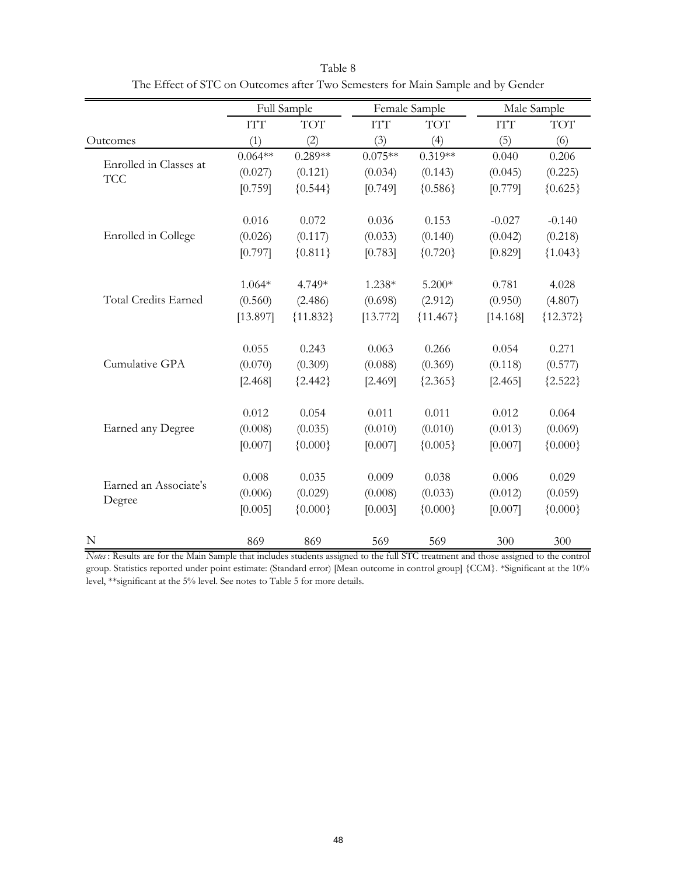|                                      |            | Full Sample |                  | Female Sample |            | Male Sample |  |
|--------------------------------------|------------|-------------|------------------|---------------|------------|-------------|--|
|                                      | <b>ITT</b> | <b>TOT</b>  | ITT <sub>T</sub> | <b>TOT</b>    | <b>ITT</b> | <b>TOT</b>  |  |
| Outcomes                             | (1)        | (2)         | (3)              | (4)           | (5)        | (6)         |  |
|                                      | $0.064**$  | $0.289**$   | $0.075**$        | $0.319**$     | 0.040      | 0.206       |  |
| Enrolled in Classes at<br><b>TCC</b> | (0.027)    | (0.121)     | (0.034)          | (0.143)       | (0.045)    | (0.225)     |  |
|                                      | [0.759]    | ${0.544}$   | [0.749]          | ${0.586}$     | [0.779]    | ${0.625}$   |  |
|                                      | 0.016      | 0.072       | 0.036            | 0.153         | $-0.027$   | $-0.140$    |  |
| Enrolled in College                  | (0.026)    | (0.117)     | (0.033)          | (0.140)       | (0.042)    | (0.218)     |  |
|                                      | [0.797]    | ${0.811}$   | [0.783]          | ${0.720}$     | [0.829]    | ${1.043}$   |  |
|                                      | $1.064*$   | 4.749*      | 1.238*           | $5.200*$      | 0.781      | 4.028       |  |
| <b>Total Credits Earned</b>          | (0.560)    | (2.486)     | (0.698)          | (2.912)       | (0.950)    | (4.807)     |  |
|                                      | [13.897]   | ${11.832}$  | [13.772]         | ${11.467}$    | [14.168]   | ${12.372}$  |  |
|                                      | 0.055      | 0.243       | 0.063            | 0.266         | 0.054      | 0.271       |  |
| Cumulative GPA                       | (0.070)    | (0.309)     | (0.088)          | (0.369)       | (0.118)    | (0.577)     |  |
|                                      | [2.468]    | ${2.442}$   | [2.469]          | ${2.365}$     | [2.465]    | ${2.522}$   |  |
|                                      | 0.012      | 0.054       | 0.011            | 0.011         | 0.012      | 0.064       |  |
| <b>Earned any Degree</b>             | (0.008)    | (0.035)     | (0.010)          | (0.010)       | (0.013)    | (0.069)     |  |
|                                      | [0.007]    | ${0.000}$   | [0.007]          | ${0.005}$     | [0.007]    | ${0.000}$   |  |
|                                      | 0.008      | 0.035       | 0.009            | 0.038         | 0.006      | 0.029       |  |
| Earned an Associate's                | (0.006)    | (0.029)     | (0.008)          | (0.033)       | (0.012)    | (0.059)     |  |
| Degree                               | [0.005]    | ${0.000}$   | [0.003]          | ${0.000}$     | [0.007]    | ${0.000}$   |  |
| N                                    | 869        | 869         | 569              | 569           | 300        | 300         |  |

Table 8 The Effect of STC on Outcomes after Two Semesters for Main Sample and by Gender

*Notes* : Results are for the Main Sample that includes students assigned to the full STC treatment and those assigned to the control group. Statistics reported under point estimate: (Standard error) [Mean outcome in control group] {CCM}. \*Significant at the 10% level, \*\*significant at the 5% level. See notes to Table 5 for more details.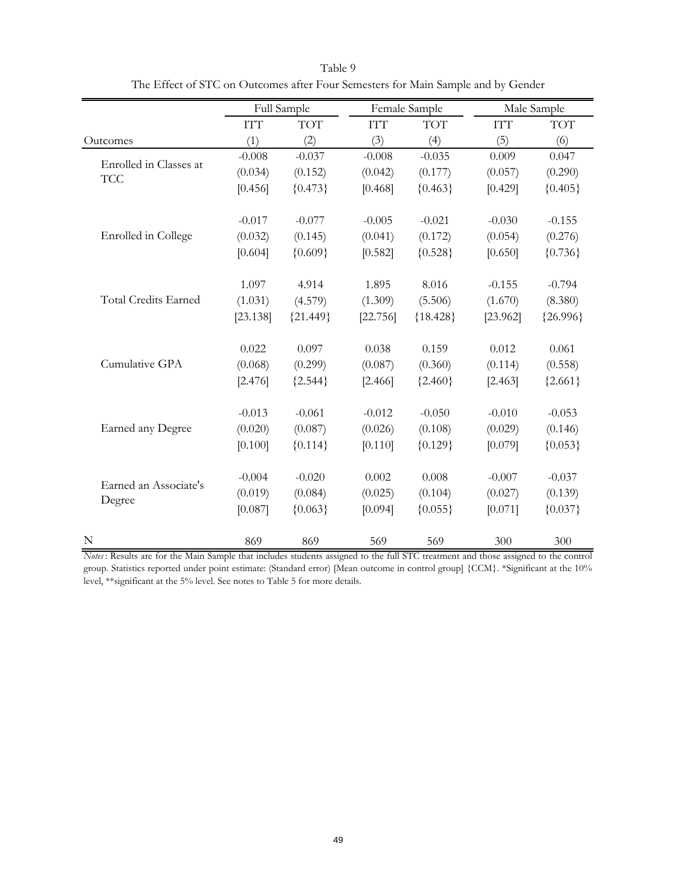|                             |            | Full Sample |            | Female Sample |            | Male Sample |
|-----------------------------|------------|-------------|------------|---------------|------------|-------------|
|                             | <b>ITT</b> | <b>TOT</b>  | <b>ITT</b> | <b>TOT</b>    | <b>ITT</b> | <b>TOT</b>  |
| Outcomes                    | (1)        | (2)         | (3)        | (4)           | (5)        | (6)         |
| Enrolled in Classes at      | $-0.008$   | $-0.037$    | $-0.008$   | $-0.035$      | 0.009      | 0.047       |
| <b>TCC</b>                  | (0.034)    | (0.152)     | (0.042)    | (0.177)       | (0.057)    | (0.290)     |
|                             | [0.456]    | ${0.473}$   | [0.468]    | ${0.463}$     | [0.429]    | ${0.405}$   |
|                             | $-0.017$   | $-0.077$    | $-0.005$   | $-0.021$      | $-0.030$   | $-0.155$    |
| Enrolled in College         | (0.032)    | (0.145)     | (0.041)    | (0.172)       | (0.054)    | (0.276)     |
|                             | [0.604]    | ${0.609}$   | [0.582]    | ${0.528}$     | [0.650]    | ${0.736}$   |
|                             | 1.097      | 4.914       | 1.895      | 8.016         | $-0.155$   | $-0.794$    |
| <b>Total Credits Earned</b> | (1.031)    | (4.579)     | (1.309)    | (5.506)       | (1.670)    | (8.380)     |
|                             | [23.138]   | ${21.449}$  | [22.756]   | ${18.428}$    | [23.962]   | ${26.996}$  |
|                             | 0.022      | 0.097       | 0.038      | 0.159         | 0.012      | 0.061       |
| Cumulative GPA              | (0.068)    | (0.299)     | (0.087)    | (0.360)       | (0.114)    | (0.558)     |
|                             | [2.476]    | ${2.544}$   | [2.466]    | ${2.460}$     | [2.463]    | ${2.661}$   |
|                             | $-0.013$   | $-0.061$    | $-0.012$   | $-0.050$      | $-0.010$   | $-0.053$    |
| <b>Earned any Degree</b>    | (0.020)    | (0.087)     | (0.026)    | (0.108)       | (0.029)    | (0.146)     |
|                             | [0.100]    | ${0.114}$   | [0.110]    | ${0.129}$     | [0.079]    | ${0.053}$   |
|                             | $-0.004$   | $-0.020$    | 0.002      | 0.008         | $-0.007$   | $-0.037$    |
| Earned an Associate's       | (0.019)    | (0.084)     | (0.025)    | (0.104)       | (0.027)    | (0.139)     |
| Degree                      | [0.087]    | ${0.063}$   | [0.094]    | ${0.055}$     | [0.071]    | ${0.037}$   |
| N                           | 869        | 869         | 569        | 569           | 300        | 300         |

Table 9 The Effect of STC on Outcomes after Four Semesters for Main Sample and by Gender

*Notes* : Results are for the Main Sample that includes students assigned to the full STC treatment and those assigned to the control group. Statistics reported under point estimate: (Standard error) [Mean outcome in control group] {CCM}. \*Significant at the 10% level, \*\*significant at the 5% level. See notes to Table 5 for more details.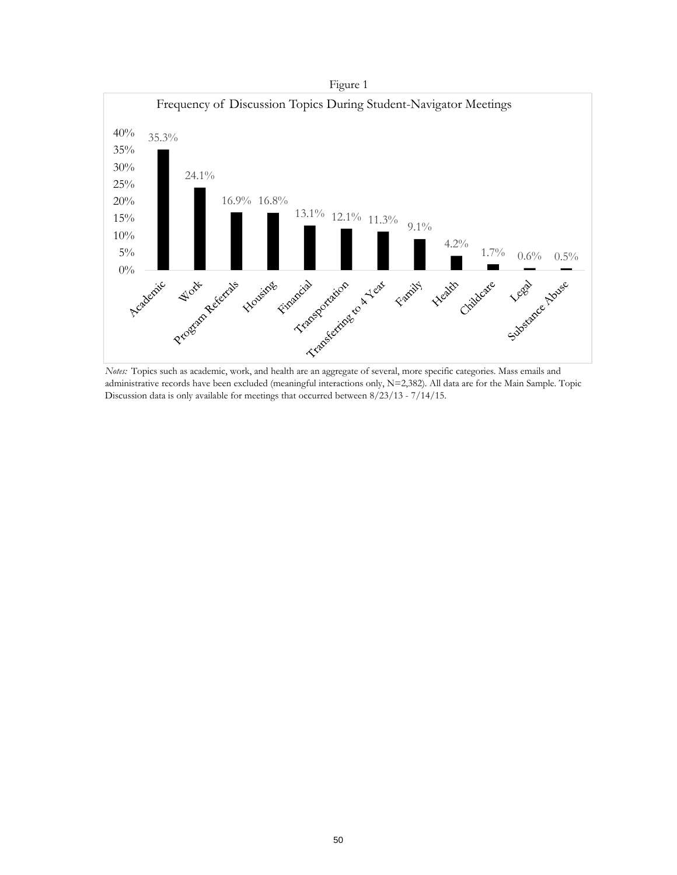

*Notes:* Topics such as academic, work, and health are an aggregate of several, more specific categories. Mass emails and administrative records have been excluded (meaningful interactions only, N=2,382). All data are for the Main Sample. Topic Discussion data is only available for meetings that occurred between 8/23/13 - 7/14/15.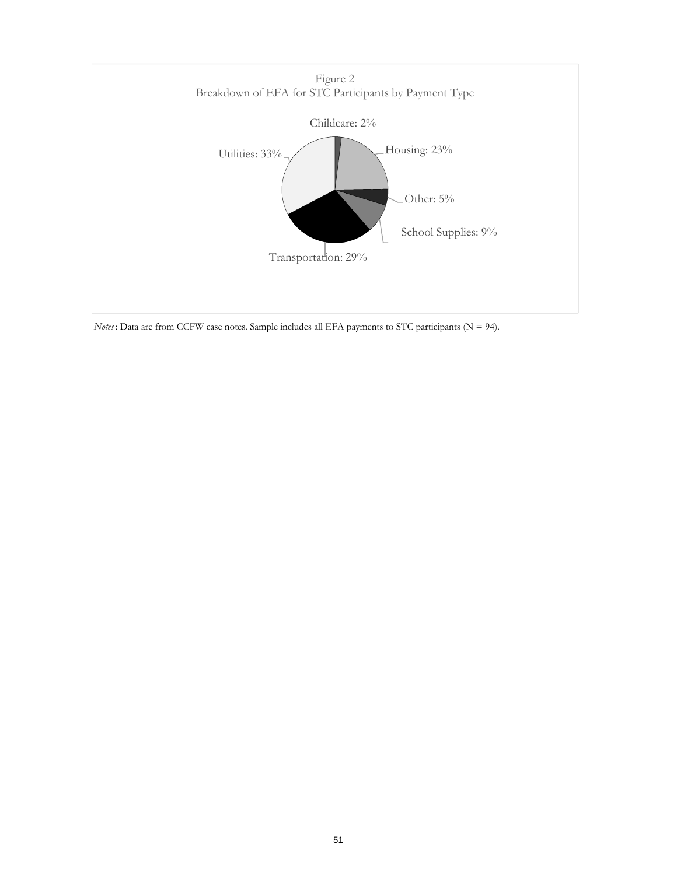

*Notes*: Data are from CCFW case notes. Sample includes all EFA payments to STC participants (N = 94).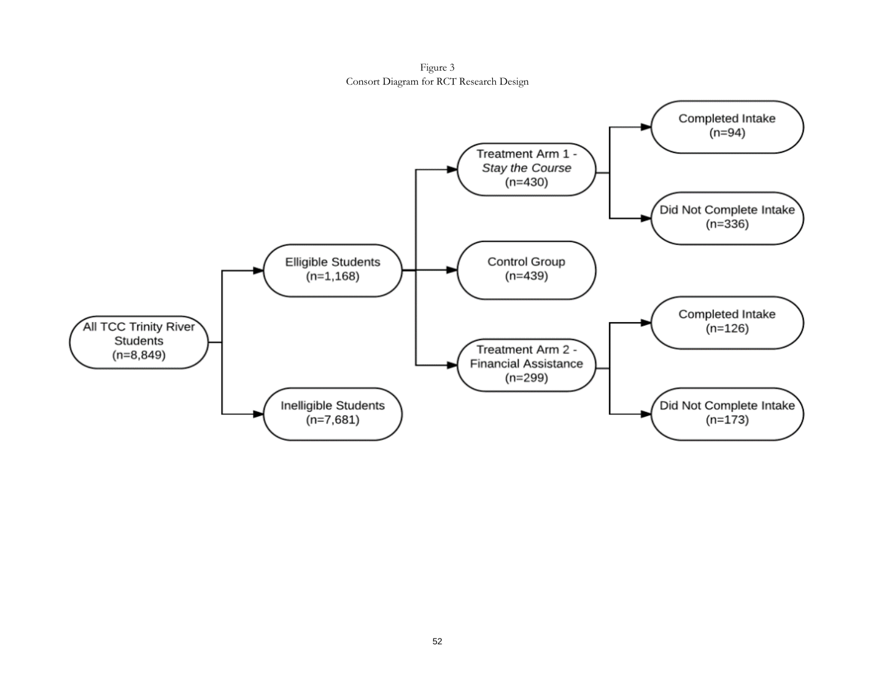Figure 3 Consort Diagram for RCT Research Design